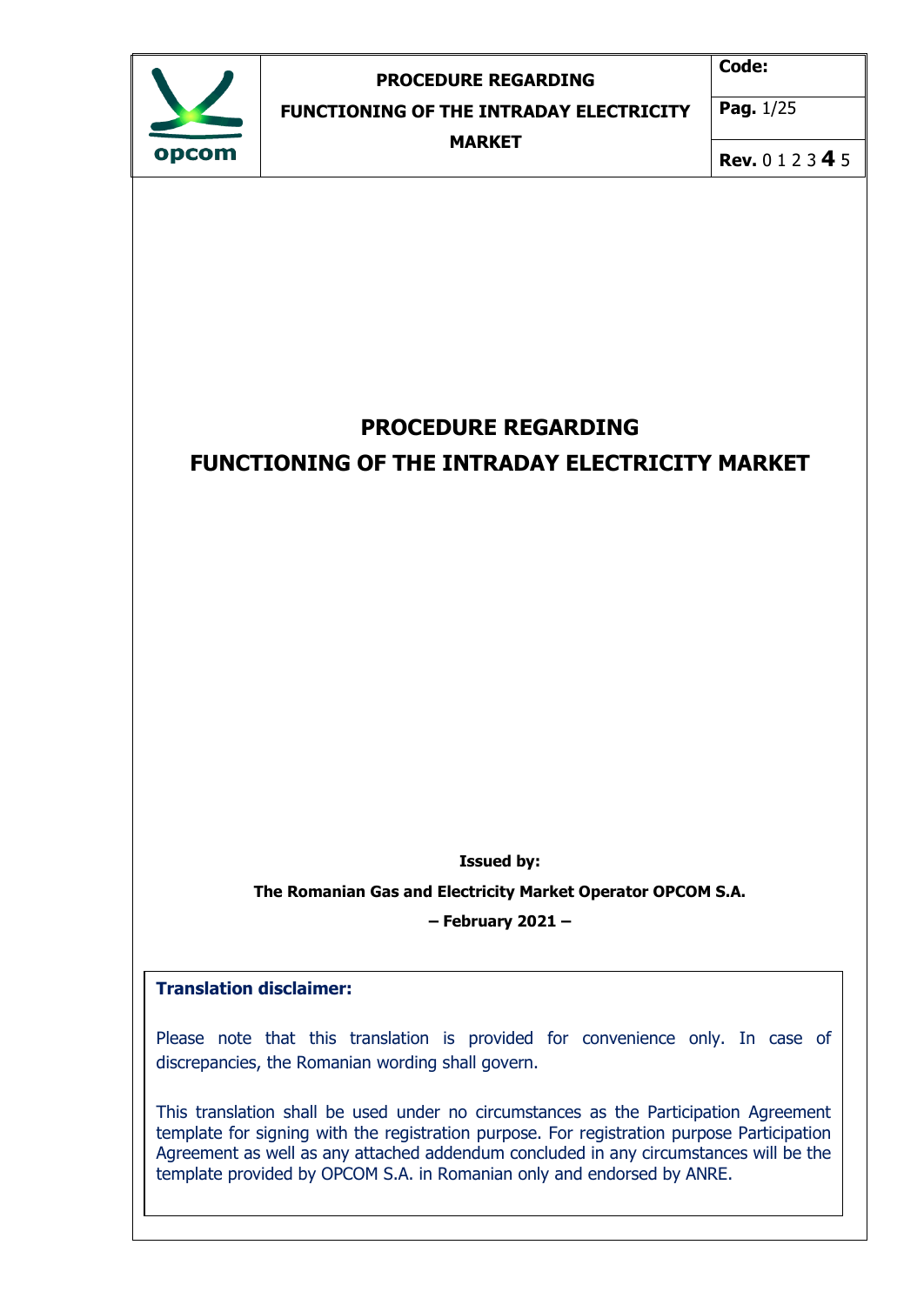| opcom |  |
|-------|--|

**Code:** 

**FUNCTIONING OF THE INTRADAY ELECTRICITY**

**Pag.** 1/25

**MARKET**

**Rev.** 0 1 2 3 **4** 5

# **PROCEDURE REGARDING FUNCTIONING OF THE INTRADAY ELECTRICITY MARKET**

**Issued by:** 

**The Romanian Gas and Electricity Market Operator OPCOM S.A.**

**– February 2021 –**

### **Translation disclaimer:**

Please note that this translation is provided for convenience only. In case of discrepancies, the Romanian wording shall govern.

This translation shall be used under no circumstances as the Participation Agreement template for signing with the registration purpose. For registration purpose Participation Agreement as well as any attached addendum concluded in any circumstances will be the template provided by OPCOM S.A. in Romanian only and endorsed by ANRE.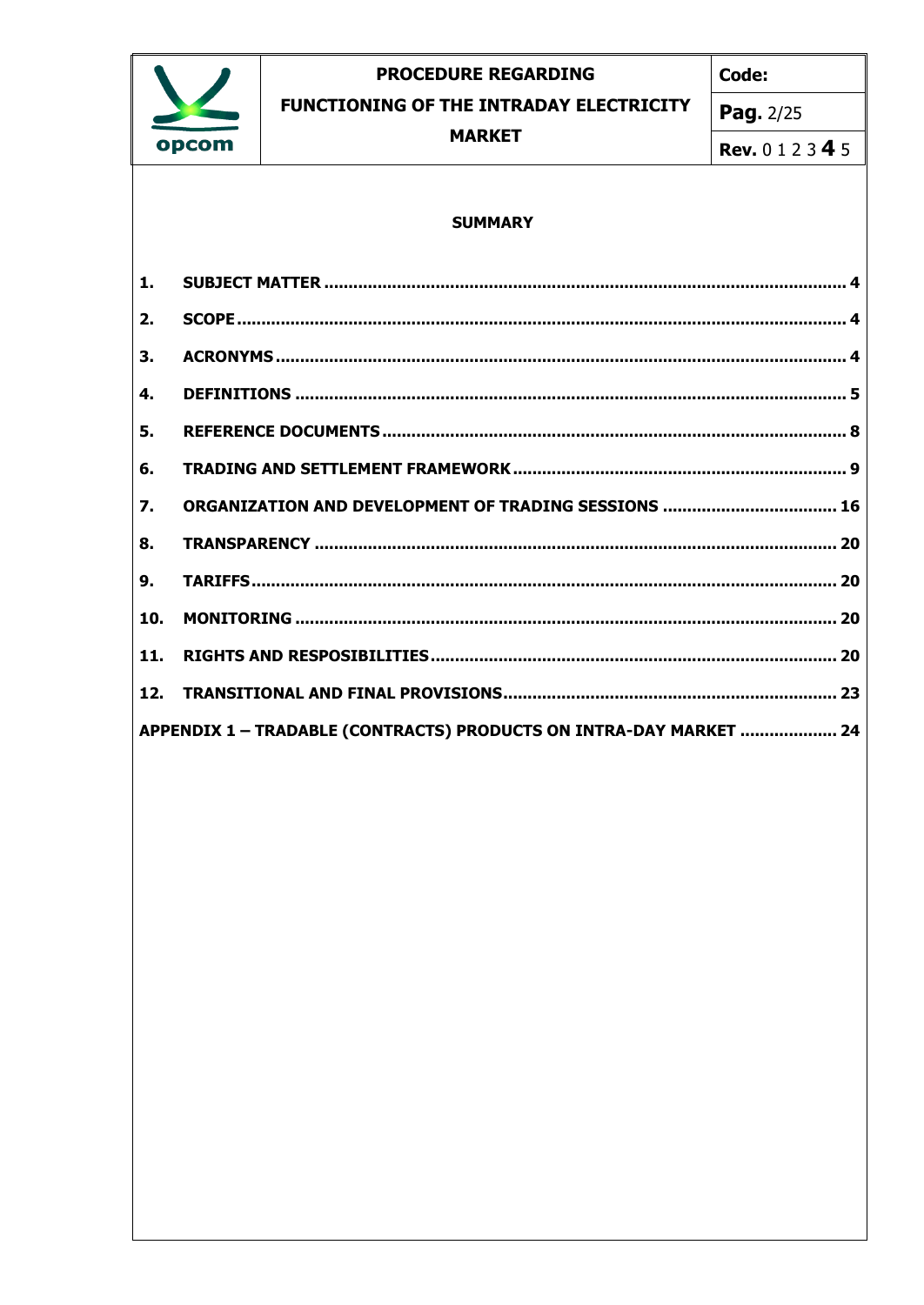

Code:

FUNCTIONING OF THE INTRADAY ELECTRICITY

**MARKET** 

Pag. 2/25

**Rev.** 0 1 2 3 4 5

#### **SUMMARY**

| 1.               |                                                                    |
|------------------|--------------------------------------------------------------------|
| 2.               |                                                                    |
| 3.               |                                                                    |
| 4.               |                                                                    |
| 5.               |                                                                    |
| 6.               |                                                                    |
| $\overline{7}$ . |                                                                    |
| 8.               |                                                                    |
| 9.               |                                                                    |
| 10.              |                                                                    |
| 11.              |                                                                    |
|                  |                                                                    |
|                  | APPENDIX 1 - TRADABLE (CONTRACTS) PRODUCTS ON INTRA-DAY MARKET  24 |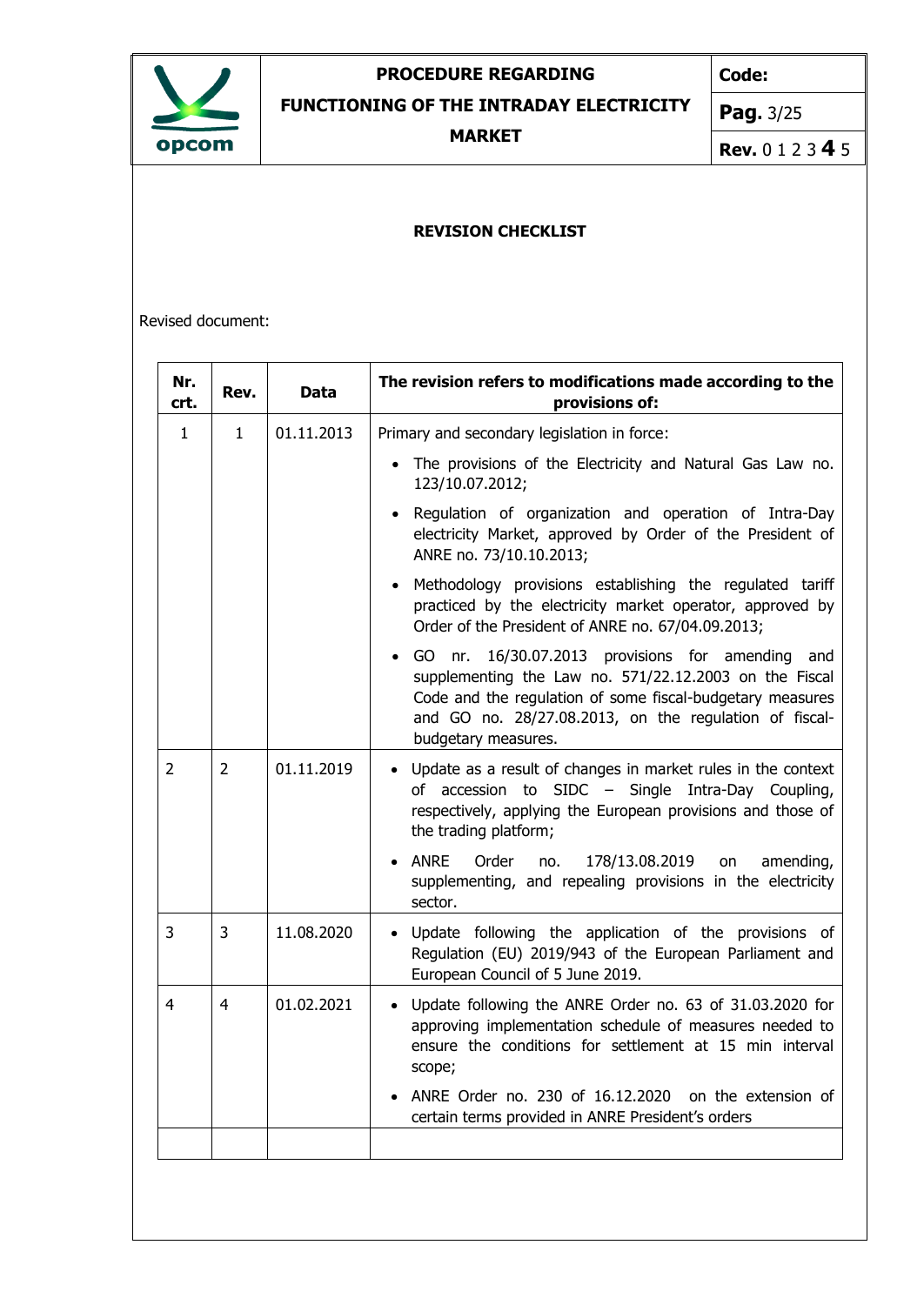

**Code:**

**FUNCTIONING OF THE INTRADAY ELECTRICITY**

**MARKET**

**Pag.** 3/25

**Rev.** 0 1 2 3 **4** 5

### **REVISION CHECKLIST**

Revised document:

| Nr.<br>crt.  | Rev.         | <b>Data</b> | The revision refers to modifications made according to the<br>provisions of:                                                                                                                                                                             |
|--------------|--------------|-------------|----------------------------------------------------------------------------------------------------------------------------------------------------------------------------------------------------------------------------------------------------------|
| $\mathbf{1}$ | $\mathbf{1}$ | 01.11.2013  | Primary and secondary legislation in force:                                                                                                                                                                                                              |
|              |              |             | The provisions of the Electricity and Natural Gas Law no.<br>123/10.07.2012;                                                                                                                                                                             |
|              |              |             | Regulation of organization and operation of Intra-Day<br>electricity Market, approved by Order of the President of<br>ANRE no. 73/10.10.2013;                                                                                                            |
|              |              |             | Methodology provisions establishing the regulated tariff<br>practiced by the electricity market operator, approved by<br>Order of the President of ANRE no. 67/04.09.2013;                                                                               |
|              |              |             | GO nr. 16/30.07.2013 provisions for amending and<br>supplementing the Law no. 571/22.12.2003 on the Fiscal<br>Code and the regulation of some fiscal-budgetary measures<br>and GO no. 28/27.08.2013, on the regulation of fiscal-<br>budgetary measures. |
| 2            | 2            | 01.11.2019  | Update as a result of changes in market rules in the context<br>$\bullet$<br>of accession to SIDC - Single Intra-Day Coupling,<br>respectively, applying the European provisions and those of<br>the trading platform;                                   |
|              |              |             | ANRE<br>Order<br>178/13.08.2019<br>no.<br>on<br>amending,<br>supplementing, and repealing provisions in the electricity<br>sector.                                                                                                                       |
| 3            | 3            | 11.08.2020  | Update following the application of the provisions of<br>$\bullet$<br>Regulation (EU) 2019/943 of the European Parliament and<br>European Council of 5 June 2019.                                                                                        |
| 4            | 4            | 01.02.2021  | • Update following the ANRE Order no. 63 of 31.03.2020 for<br>approving implementation schedule of measures needed to<br>ensure the conditions for settlement at 15 min interval<br>scope;                                                               |
|              |              |             | ANRE Order no. 230 of 16.12.2020 on the extension of<br>certain terms provided in ANRE President's orders                                                                                                                                                |
|              |              |             |                                                                                                                                                                                                                                                          |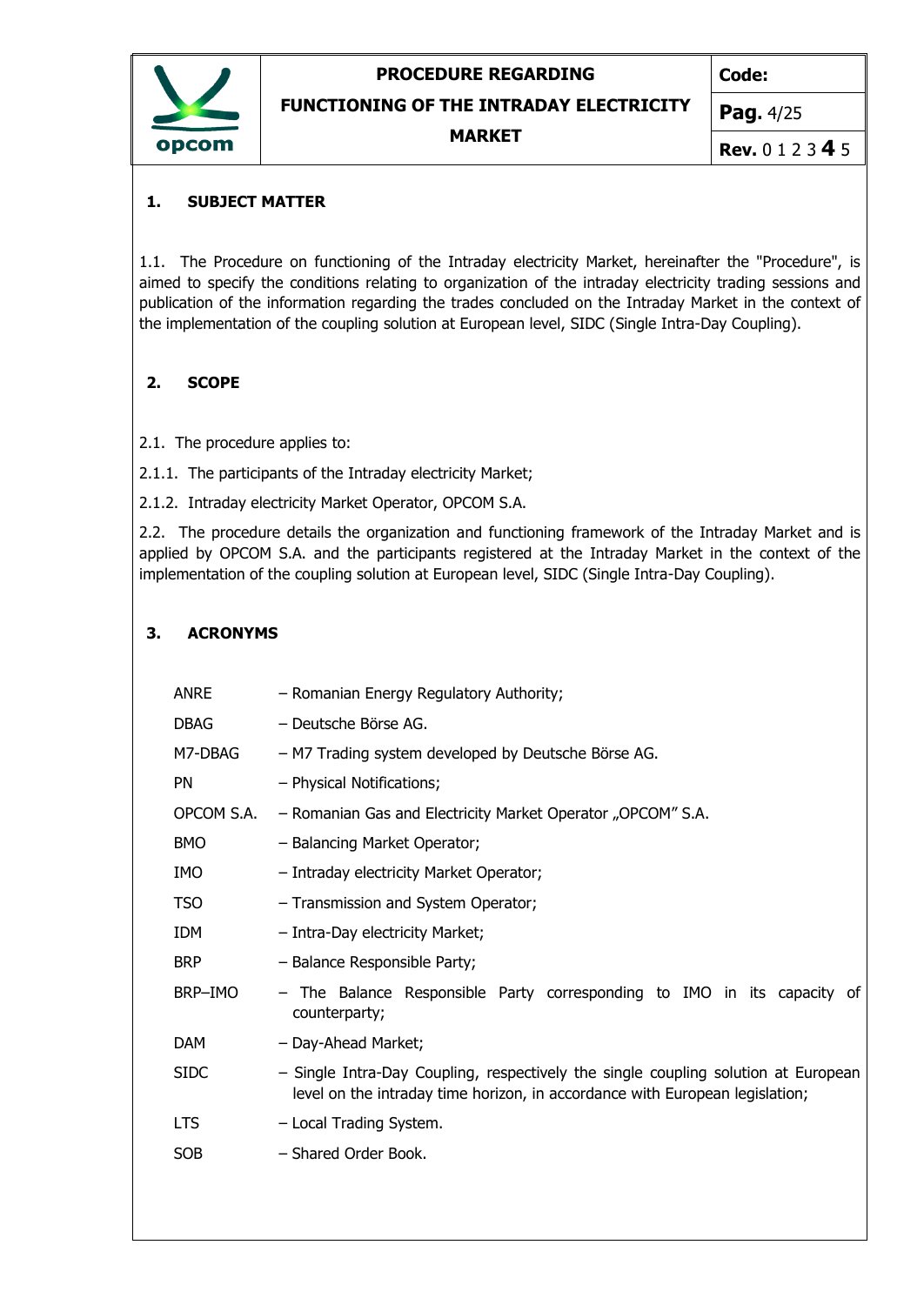

**Code:**

**FUNCTIONING OF THE INTRADAY ELECTRICITY**

**MARKET**

**Pag.** 4/25

**Rev.** 0 1 2 3 **4** 5

### <span id="page-3-0"></span>**1. SUBJECT MATTER**

1.1. The Procedure on functioning of the Intraday electricity Market, hereinafter the "Procedure", is aimed to specify the conditions relating to organization of the intraday electricity trading sessions and publication of the information regarding the trades concluded on the Intraday Market in the context of the implementation of the coupling solution at European level, SIDC (Single Intra-Day Coupling).

### <span id="page-3-1"></span>**2. SCOPE**

- 2.1. The procedure applies to:
- 2.1.1. The participants of the Intraday electricity Market;
- 2.1.2. Intraday electricity Market Operator, OPCOM S.A.

2.2. The procedure details the organization and functioning framework of the Intraday Market and is applied by OPCOM S.A. and the participants registered at the Intraday Market in the context of the implementation of the coupling solution at European level, SIDC (Single Intra-Day Coupling).

# <span id="page-3-2"></span>**3. ACRONYMS**

| <b>ANRE</b> | - Romanian Energy Regulatory Authority;                                                                                                                            |  |  |
|-------------|--------------------------------------------------------------------------------------------------------------------------------------------------------------------|--|--|
| <b>DBAG</b> | - Deutsche Börse AG.                                                                                                                                               |  |  |
| M7-DBAG     | - M7 Trading system developed by Deutsche Börse AG.                                                                                                                |  |  |
| <b>PN</b>   | - Physical Notifications;                                                                                                                                          |  |  |
| OPCOM S.A.  | - Romanian Gas and Electricity Market Operator "OPCOM" S.A.                                                                                                        |  |  |
| <b>BMO</b>  | - Balancing Market Operator;                                                                                                                                       |  |  |
| <b>IMO</b>  | - Intraday electricity Market Operator;                                                                                                                            |  |  |
| <b>TSO</b>  | - Transmission and System Operator;                                                                                                                                |  |  |
| <b>IDM</b>  | - Intra-Day electricity Market;                                                                                                                                    |  |  |
| <b>BRP</b>  | - Balance Responsible Party;                                                                                                                                       |  |  |
| BRP-IMO     | - The Balance Responsible Party corresponding to IMO in its capacity of<br>counterparty;                                                                           |  |  |
| <b>DAM</b>  | - Day-Ahead Market;                                                                                                                                                |  |  |
| <b>SIDC</b> | - Single Intra-Day Coupling, respectively the single coupling solution at European<br>level on the intraday time horizon, in accordance with European legislation; |  |  |
| <b>LTS</b>  | - Local Trading System.                                                                                                                                            |  |  |
| <b>SOB</b>  | - Shared Order Book.                                                                                                                                               |  |  |
|             |                                                                                                                                                                    |  |  |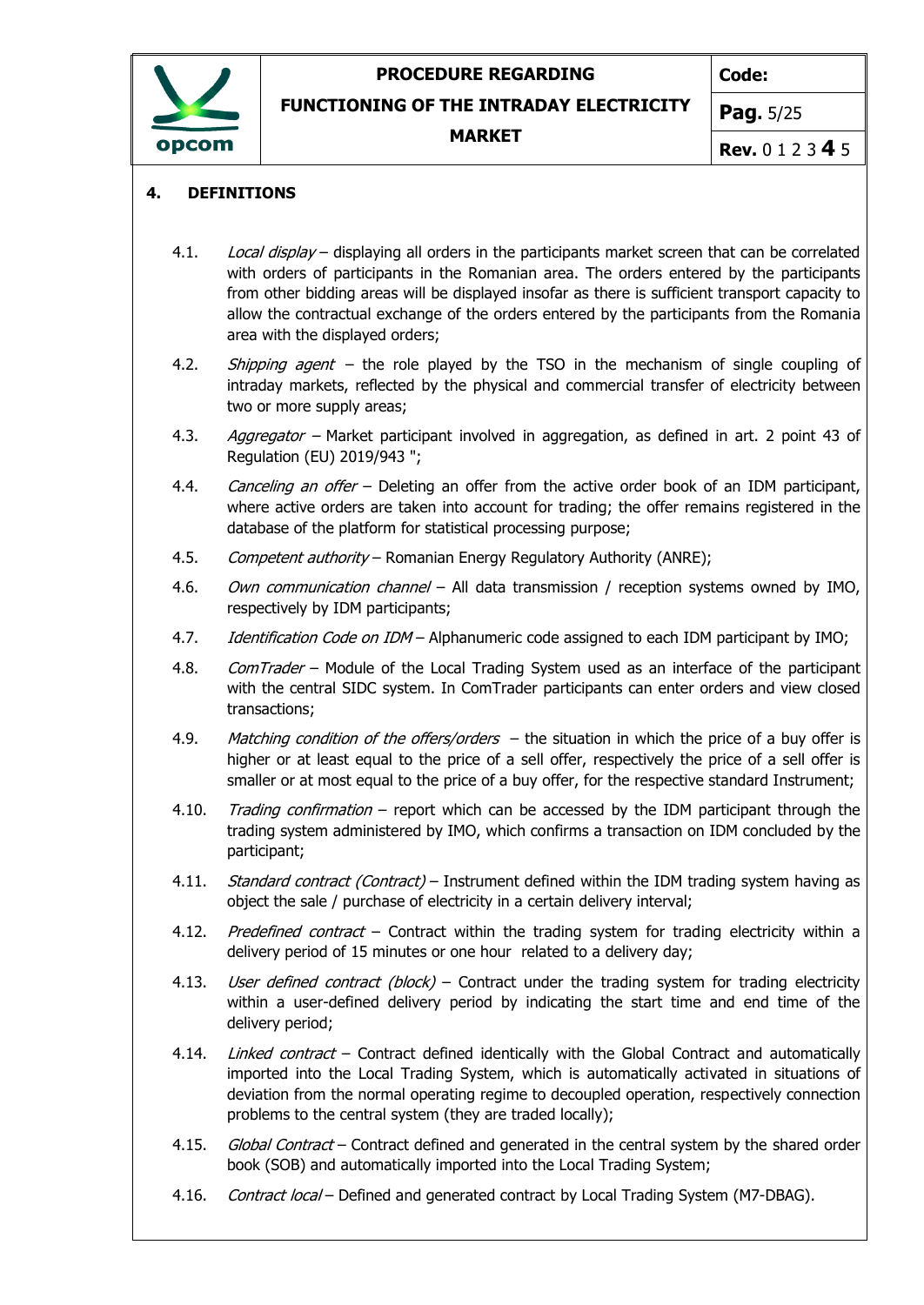

**Code:**

**FUNCTIONING OF THE INTRADAY ELECTRICITY**

**MARKET**

**Pag.** 5/25

**Rev.** 0 1 2 3 **4** 5

#### <span id="page-4-0"></span>**4. DEFINITIONS**

- 4.1. Local display displaying all orders in the participants market screen that can be correlated with orders of participants in the Romanian area. The orders entered by the participants from other bidding areas will be displayed insofar as there is sufficient transport capacity to allow the contractual exchange of the orders entered by the participants from the Romania area with the displayed orders;
- 4.2. *Shipping agent* the role played by the TSO in the mechanism of single coupling of intraday markets, reflected by the physical and commercial transfer of electricity between two or more supply areas;
- 4.3. Aggregator Market participant involved in aggregation, as defined in art. 2 point 43 of Regulation (EU) 2019/943 ";
- 4.4. Canceling an offer Deleting an offer from the active order book of an IDM participant, where active orders are taken into account for trading; the offer remains registered in the database of the platform for statistical processing purpose;
- 4.5. Competent authority Romanian Energy Regulatory Authority (ANRE);
- 4.6. *Own communication channel* All data transmission / reception systems owned by IMO, respectively by IDM participants;
- 4.7. *Identification Code on IDM* Alphanumeric code assigned to each IDM participant by IMO;
- 4.8. ComTrader Module of the Local Trading System used as an interface of the participant with the central SIDC system. In ComTrader participants can enter orders and view closed transactions;
- 4.9. Matching condition of the offers/orders  $-$  the situation in which the price of a buy offer is higher or at least equal to the price of a sell offer, respectively the price of a sell offer is smaller or at most equal to the price of a buy offer, for the respective standard Instrument;
- 4.10. Trading confirmation report which can be accessed by the IDM participant through the trading system administered by IMO, which confirms a transaction on IDM concluded by the participant;
- 4.11. Standard contract (Contract) Instrument defined within the IDM trading system having as object the sale / purchase of electricity in a certain delivery interval;
- 4.12. Predefined contract Contract within the trading system for trading electricity within a delivery period of 15 minutes or one hour related to a delivery day;
- 4.13. *User defined contract (block)* Contract under the trading system for trading electricity within a user-defined delivery period by indicating the start time and end time of the delivery period;
- 4.14. *Linked contract* Contract defined identically with the Global Contract and automatically imported into the Local Trading System, which is automatically activated in situations of deviation from the normal operating regime to decoupled operation, respectively connection problems to the central system (they are traded locally);
- 4.15. Global Contract Contract defined and generated in the central system by the shared order book (SOB) and automatically imported into the Local Trading System;
- 4.16. Contract local Defined and generated contract by Local Trading System (M7-DBAG).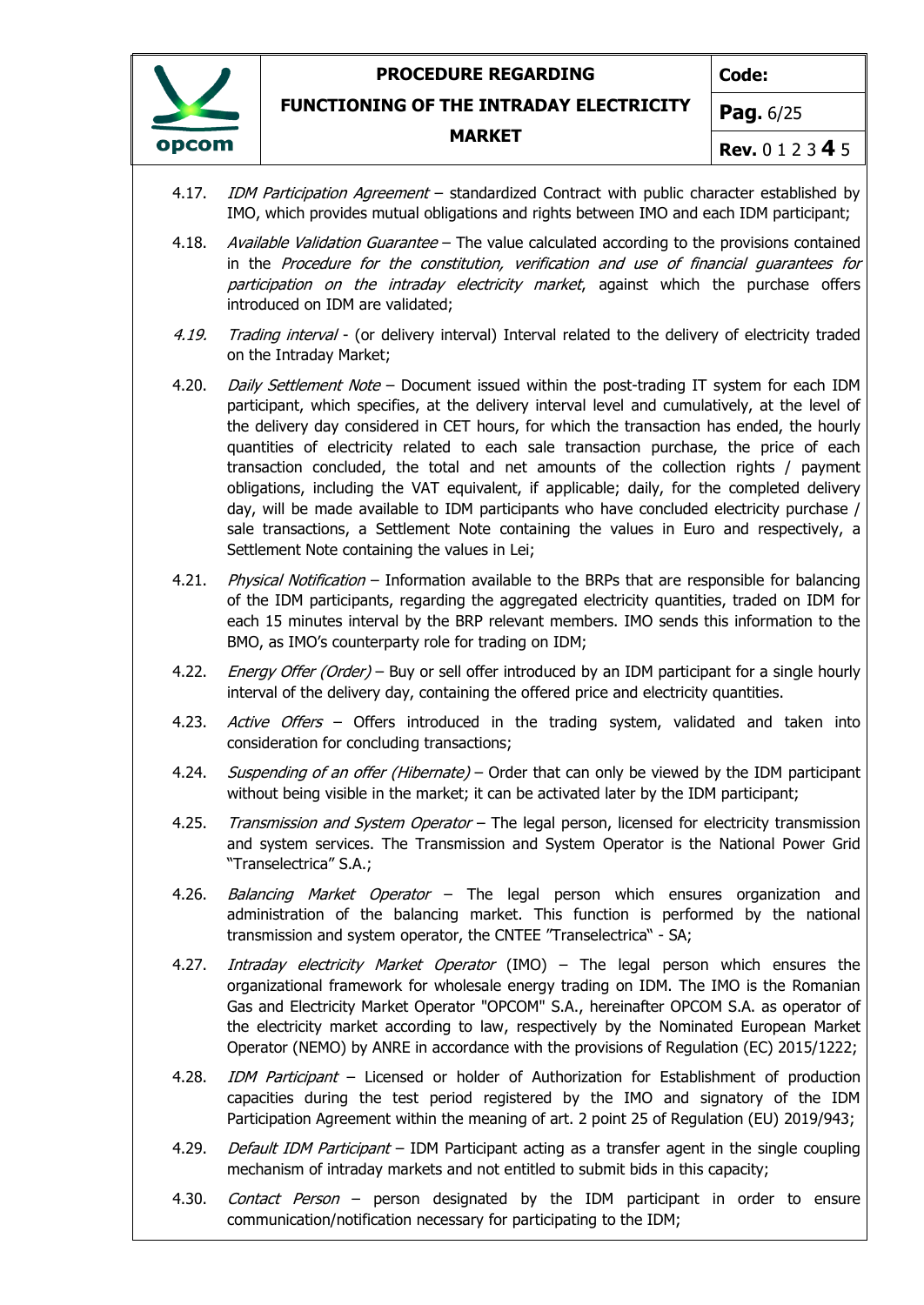

**Code:**

**FUNCTIONING OF THE INTRADAY ELECTRICITY**

#### **MARKET**

**Pag.** 6/25

**Rev.** 0 1 2 3 **4** 5

- 4.17. *IDM Participation Agreement* standardized Contract with public character established by IMO, which provides mutual obligations and rights between IMO and each IDM participant;
- 4.18. Available Validation Guarantee The value calculated according to the provisions contained in the Procedure for the constitution, verification and use of financial guarantees for participation on the intraday electricity market, against which the purchase offers introduced on IDM are validated;
- 4.19. Trading interval (or delivery interval) Interval related to the delivery of electricity traded on the Intraday Market;
- 4.20. Daily Settlement Note Document issued within the post-trading IT system for each IDM participant, which specifies, at the delivery interval level and cumulatively, at the level of the delivery day considered in CET hours, for which the transaction has ended, the hourly quantities of electricity related to each sale transaction purchase, the price of each transaction concluded, the total and net amounts of the collection rights / payment obligations, including the VAT equivalent, if applicable; daily, for the completed delivery day, will be made available to IDM participants who have concluded electricity purchase / sale transactions, a Settlement Note containing the values in Euro and respectively, a Settlement Note containing the values in Lei;
- 4.21. Physical Notification Information available to the BRPs that are responsible for balancing of the IDM participants, regarding the aggregated electricity quantities, traded on IDM for each 15 minutes interval by the BRP relevant members. IMO sends this information to the BMO, as IMO's counterparty role for trading on IDM;
- 4.22. *Energy Offer (Order)* Buy or sell offer introduced by an IDM participant for a single hourly interval of the delivery day, containing the offered price and electricity quantities.
- 4.23. Active Offers Offers introduced in the trading system, validated and taken into consideration for concluding transactions;
- 4.24. Suspending of an offer (Hibernate) Order that can only be viewed by the IDM participant without being visible in the market; it can be activated later by the IDM participant;
- 4.25. Transmission and System Operator The legal person, licensed for electricity transmission and system services. The Transmission and System Operator is the National Power Grid "Transelectrica" S.A.;
- 4.26. Balancing Market Operator The legal person which ensures organization and administration of the balancing market. This function is performed by the national transmission and system operator, the CNTEE "Transelectrica" - SA;
- 4.27. Intraday electricity Market Operator (IMO) The legal person which ensures the organizational framework for wholesale energy trading on IDM. The IMO is the Romanian Gas and Electricity Market Operator "OPCOM" S.A., hereinafter OPCOM S.A. as operator of the electricity market according to law, respectively by the Nominated European Market Operator (NEMO) by ANRE in accordance with the provisions of Regulation (EC) 2015/1222;
- 4.28. *IDM Participant* Licensed or holder of Authorization for Establishment of production capacities during the test period registered by the IMO and signatory of the IDM Participation Agreement within the meaning of art. 2 point 25 of Regulation (EU) 2019/943;
- 4.29. Default IDM Participant IDM Participant acting as a transfer agent in the single coupling mechanism of intraday markets and not entitled to submit bids in this capacity;
- 4.30. *Contact Person* person designated by the IDM participant in order to ensure communication/notification necessary for participating to the IDM;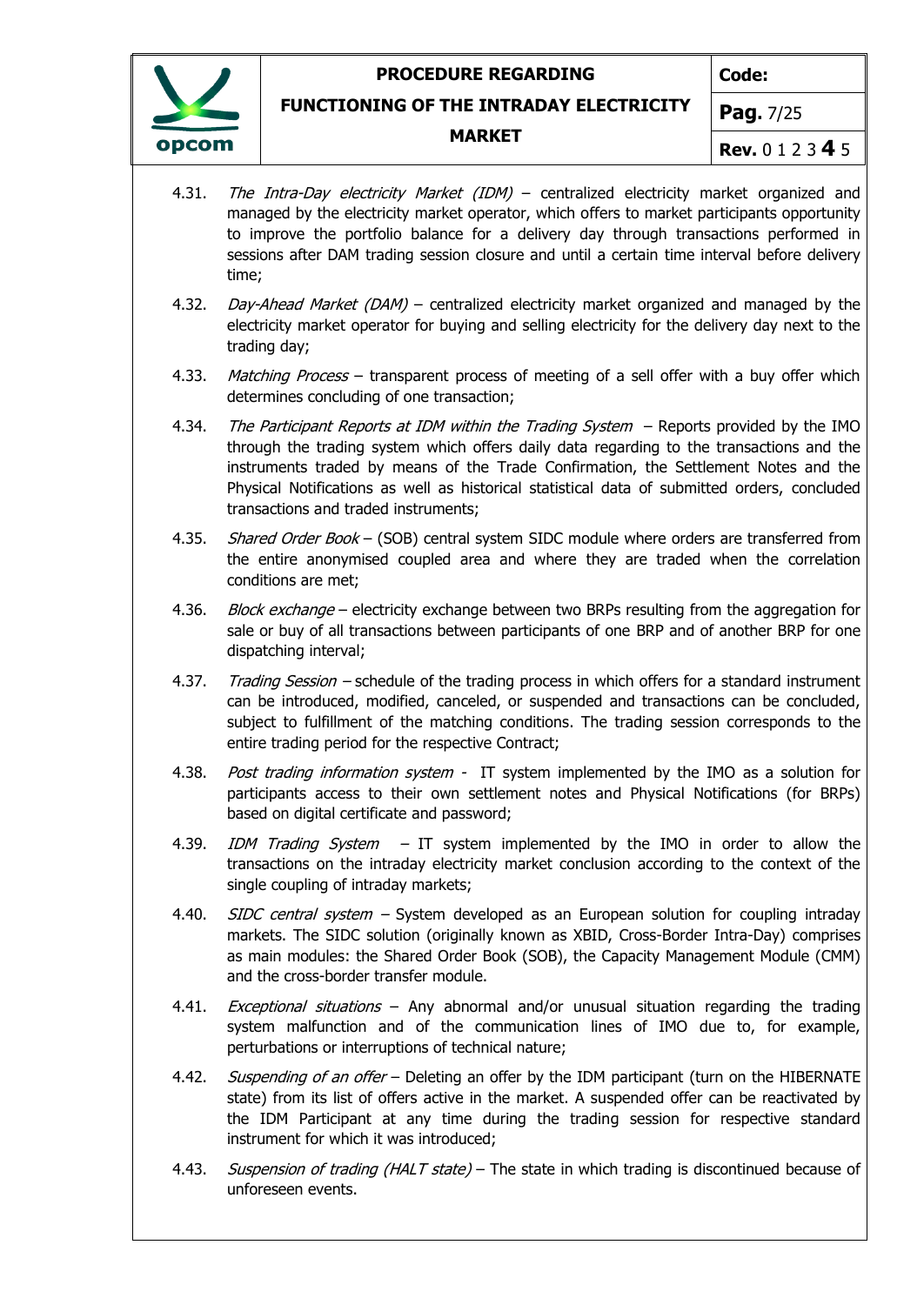

**Code:**

**FUNCTIONING OF THE INTRADAY ELECTRICITY**

#### **MARKET**

**Pag.** 7/25

**Rev.** 0 1 2 3 **4** 5

- 4.31. The Intra-Day electricity Market (IDM) centralized electricity market organized and managed by the electricity market operator, which offers to market participants opportunity to improve the portfolio balance for a delivery day through transactions performed in sessions after DAM trading session closure and until a certain time interval before delivery time;
- 4.32. Day-Ahead Market (DAM) centralized electricity market organized and managed by the electricity market operator for buying and selling electricity for the delivery day next to the trading day;
- 4.33. Matching Process transparent process of meeting of a sell offer with a buy offer which determines concluding of one transaction;
- 4.34. The Participant Reports at IDM within the Trading System Reports provided by the IMO through the trading system which offers daily data regarding to the transactions and the instruments traded by means of the Trade Confirmation, the Settlement Notes and the Physical Notifications as well as historical statistical data of submitted orders, concluded transactions and traded instruments;
- 4.35. Shared Order Book (SOB) central system SIDC module where orders are transferred from the entire anonymised coupled area and where they are traded when the correlation conditions are met;
- 4.36. Block exchange electricity exchange between two BRPs resulting from the aggregation for sale or buy of all transactions between participants of one BRP and of another BRP for one dispatching interval;
- 4.37. Trading Session schedule of the trading process in which offers for a standard instrument can be introduced, modified, canceled, or suspended and transactions can be concluded, subject to fulfillment of the matching conditions. The trading session corresponds to the entire trading period for the respective Contract;
- 4.38. Post trading information system IT system implemented by the IMO as a solution for participants access to their own settlement notes and Physical Notifications (for BRPs) based on digital certificate and password;
- 4.39. *IDM Trading System –* IT system implemented by the IMO in order to allow the transactions on the intraday electricity market conclusion according to the context of the single coupling of intraday markets;
- 4.40. *SIDC central system* System developed as an European solution for coupling intraday markets. The SIDC solution (originally known as XBID, Cross-Border Intra-Day) comprises as main modules: the Shared Order Book (SOB), the Capacity Management Module (CMM) and the cross-border transfer module.
- 4.41. *Exceptional situations* Any abnormal and/or unusual situation regarding the trading system malfunction and of the communication lines of IMO due to, for example, perturbations or interruptions of technical nature;
- 4.42. *Suspending of an offer* Deleting an offer by the IDM participant (turn on the HIBERNATE state) from its list of offers active in the market. A suspended offer can be reactivated by the IDM Participant at any time during the trading session for respective standard instrument for which it was introduced;
- 4.43. Suspension of trading (HALT state) The state in which trading is discontinued because of unforeseen events.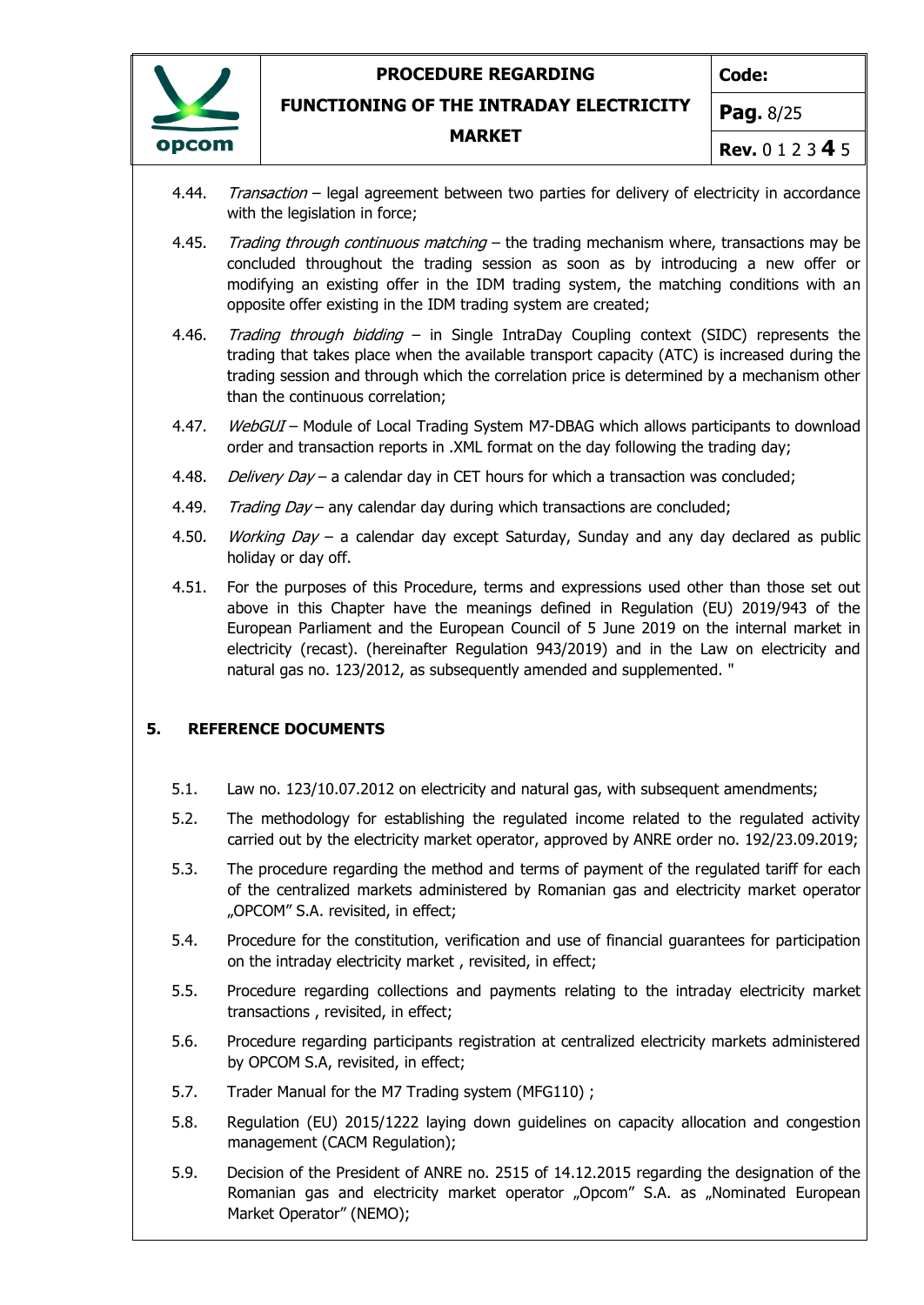

**Code:**

**FUNCTIONING OF THE INTRADAY ELECTRICITY**

#### **MARKET**

**Pag.** 8/25

- **Rev.** 0 1 2 3 **4** 5
- 4.44. Transaction legal agreement between two parties for delivery of electricity in accordance with the legislation in force;
- 4.45. Trading through continuous matching the trading mechanism where, transactions may be concluded throughout the trading session as soon as by introducing a new offer or modifying an existing offer in the IDM trading system, the matching conditions with an opposite offer existing in the IDM trading system are created;
- 4.46. Trading through bidding in Single IntraDay Coupling context (SIDC) represents the trading that takes place when the available transport capacity (ATC) is increased during the trading session and through which the correlation price is determined by a mechanism other than the continuous correlation;
- 4.47. WebGUI Module of Local Trading System M7-DBAG which allows participants to download order and transaction reports in .XML format on the day following the trading day;
- 4.48. Delivery Day a calendar day in CET hours for which a transaction was concluded;
- 4.49. Trading  $Day -$  any calendar day during which transactions are concluded;
- 4.50. *Working Day* a calendar day except Saturday, Sunday and any day declared as public holiday or day off.
- 4.51. For the purposes of this Procedure, terms and expressions used other than those set out above in this Chapter have the meanings defined in Regulation (EU) 2019/943 of the European Parliament and the European Council of 5 June 2019 on the internal market in electricity (recast). (hereinafter Regulation 943/2019) and in the Law on electricity and natural gas no. 123/2012, as subsequently amended and supplemented. "

### <span id="page-7-0"></span>**5. REFERENCE DOCUMENTS**

- 5.1. Law no. 123/10.07.2012 on electricity and natural gas, with subsequent amendments;
- 5.2. The methodology for establishing the regulated income related to the regulated activity carried out by the electricity market operator, approved by ANRE order no. 192/23.09.2019;
- 5.3. The procedure regarding the method and terms of payment of the regulated tariff for each of the centralized markets administered by Romanian gas and electricity market operator "OPCOM" S.A. revisited, in effect;
- 5.4. Procedure for the constitution, verification and use of financial guarantees for participation on the intraday electricity market , revisited, in effect;
- 5.5. Procedure regarding collections and payments relating to the intraday electricity market transactions , revisited, in effect;
- 5.6. Procedure regarding participants registration at centralized electricity markets administered by OPCOM S.A, revisited, in effect;
- 5.7. Trader Manual for the M7 Trading system (MFG110) ;
- 5.8. Regulation (EU) 2015/1222 laying down guidelines on capacity allocation and congestion management (CACM Regulation);
- 5.9. Decision of the President of ANRE no. 2515 of 14.12.2015 regarding the designation of the Romanian gas and electricity market operator "Opcom" S.A. as "Nominated European Market Operator" (NEMO);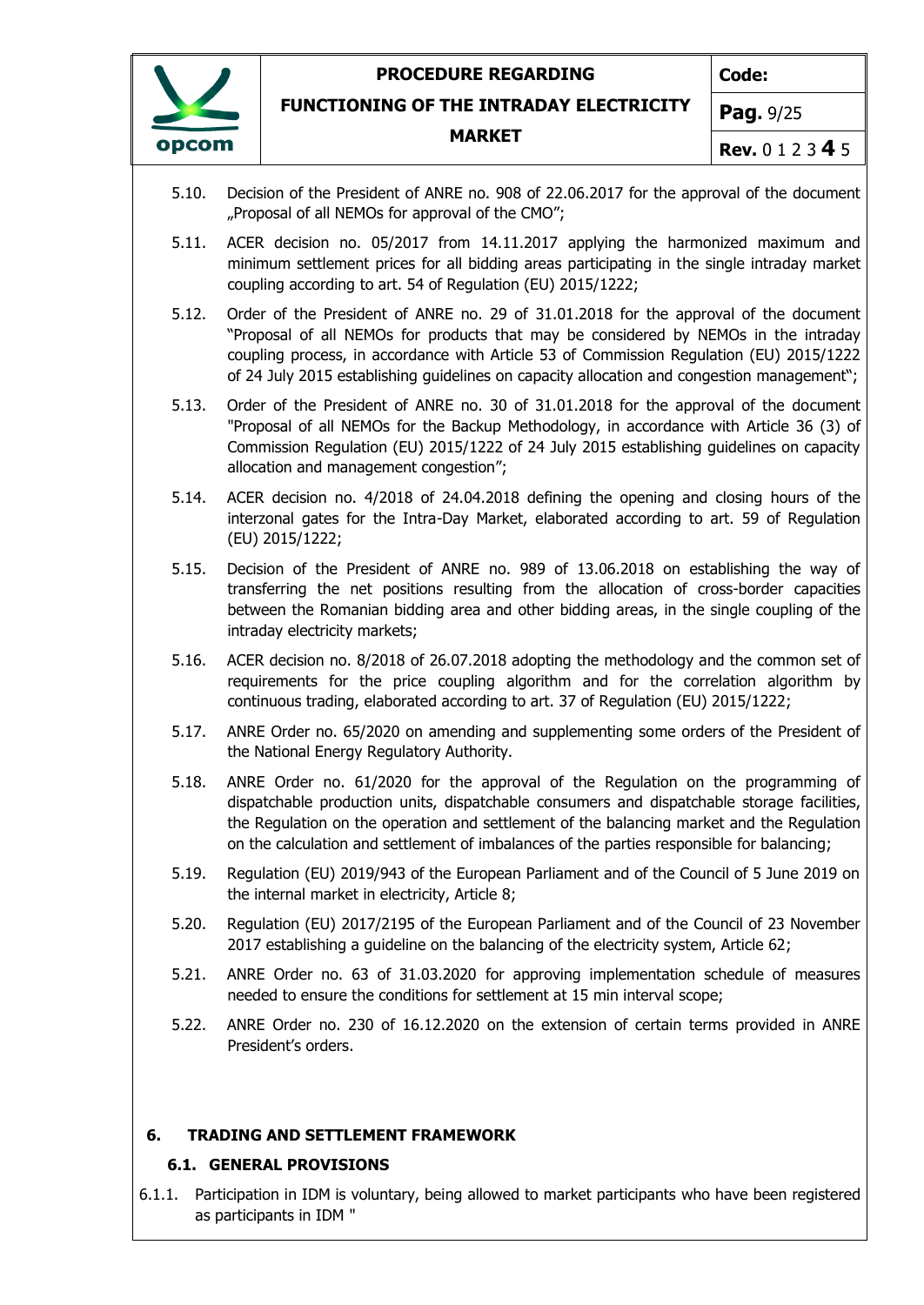

**Code:**

**FUNCTIONING OF THE INTRADAY ELECTRICITY**

#### **MARKET**

**Pag.** 9/25

- **Rev.** 0 1 2 3 **4** 5
- 5.10. Decision of the President of ANRE no. 908 of 22.06.2017 for the approval of the document "Proposal of all NEMOs for approval of the CMO";
- 5.11. ACER decision no. 05/2017 from 14.11.2017 applying the harmonized maximum and minimum settlement prices for all bidding areas participating in the single intraday market coupling according to art. 54 of Regulation (EU) 2015/1222;
- 5.12. Order of the President of ANRE no. 29 of 31.01.2018 for the approval of the document "Proposal of all NEMOs for products that may be considered by NEMOs in the intraday coupling process, in accordance with Article 53 of Commission Regulation (EU) 2015/1222 of 24 July 2015 establishing guidelines on capacity allocation and congestion management";
- 5.13. Order of the President of ANRE no. 30 of 31.01.2018 for the approval of the document "Proposal of all NEMOs for the Backup Methodology, in accordance with Article 36 (3) of Commission Regulation (EU) 2015/1222 of 24 July 2015 establishing guidelines on capacity allocation and management congestion";
- 5.14. ACER decision no. 4/2018 of 24.04.2018 defining the opening and closing hours of the interzonal gates for the Intra-Day Market, elaborated according to art. 59 of Regulation (EU) 2015/1222;
- 5.15. Decision of the President of ANRE no. 989 of 13.06.2018 on establishing the way of transferring the net positions resulting from the allocation of cross-border capacities between the Romanian bidding area and other bidding areas, in the single coupling of the intraday electricity markets;
- 5.16. ACER decision no. 8/2018 of 26.07.2018 adopting the methodology and the common set of requirements for the price coupling algorithm and for the correlation algorithm by continuous trading, elaborated according to art. 37 of Regulation (EU) 2015/1222;
- 5.17. ANRE Order no. 65/2020 on amending and supplementing some orders of the President of the National Energy Regulatory Authority.
- 5.18. ANRE Order no. 61/2020 for the approval of the Regulation on the programming of dispatchable production units, dispatchable consumers and dispatchable storage facilities, the Regulation on the operation and settlement of the balancing market and the Regulation on the calculation and settlement of imbalances of the parties responsible for balancing;
- 5.19. Regulation (EU) 2019/943 of the European Parliament and of the Council of 5 June 2019 on the internal market in electricity, Article 8;
- 5.20. Regulation (EU) 2017/2195 of the European Parliament and of the Council of 23 November 2017 establishing a guideline on the balancing of the electricity system, Article 62;
- 5.21. ANRE Order no. 63 of 31.03.2020 for approving implementation schedule of measures needed to ensure the conditions for settlement at 15 min interval scope;
- 5.22. ANRE Order no. 230 of 16.12.2020 on the extension of certain terms provided in ANRE President's orders.

### <span id="page-8-0"></span>**6. TRADING AND SETTLEMENT FRAMEWORK**

#### **6.1. GENERAL PROVISIONS**

6.1.1. Participation in IDM is voluntary, being allowed to market participants who have been registered as participants in IDM "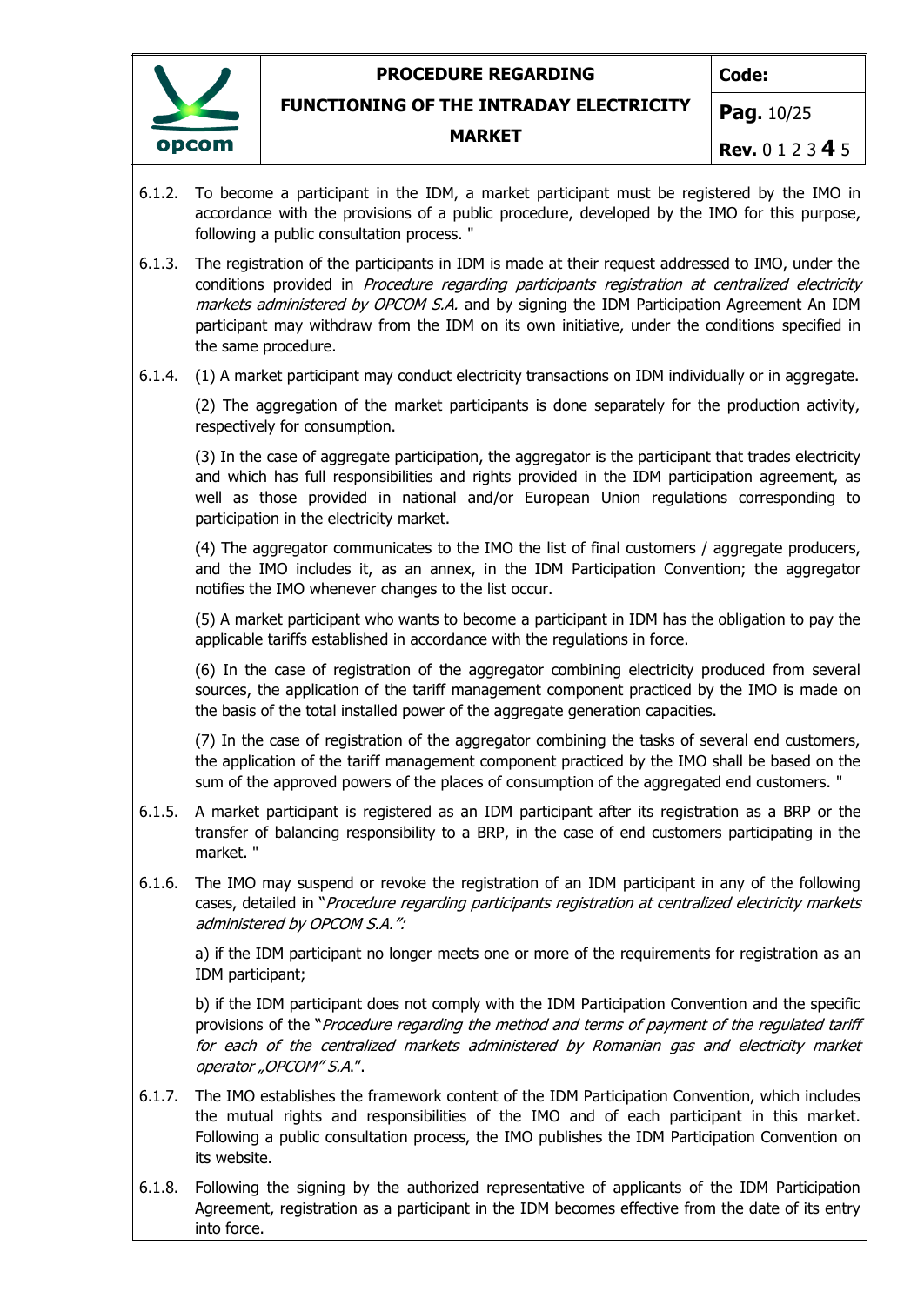

**Code:**

**FUNCTIONING OF THE INTRADAY ELECTRICITY**

#### **MARKET**

**Pag.** 10/25

- **Rev.** 0 1 2 3 **4** 5
- 6.1.2. To become a participant in the IDM, a market participant must be registered by the IMO in accordance with the provisions of a public procedure, developed by the IMO for this purpose, following a public consultation process. "
- 6.1.3. The registration of the participants in IDM is made at their request addressed to IMO, under the conditions provided in Procedure regarding participants registration at centralized electricity markets administered by OPCOM S.A. and by signing the IDM Participation Agreement An IDM participant may withdraw from the IDM on its own initiative, under the conditions specified in the same procedure.
- 6.1.4. (1) A market participant may conduct electricity transactions on IDM individually or in aggregate.

(2) The aggregation of the market participants is done separately for the production activity, respectively for consumption.

(3) In the case of aggregate participation, the aggregator is the participant that trades electricity and which has full responsibilities and rights provided in the IDM participation agreement, as well as those provided in national and/or European Union regulations corresponding to participation in the electricity market.

(4) The aggregator communicates to the IMO the list of final customers / aggregate producers, and the IMO includes it, as an annex, in the IDM Participation Convention; the aggregator notifies the IMO whenever changes to the list occur.

(5) A market participant who wants to become a participant in IDM has the obligation to pay the applicable tariffs established in accordance with the regulations in force.

(6) In the case of registration of the aggregator combining electricity produced from several sources, the application of the tariff management component practiced by the IMO is made on the basis of the total installed power of the aggregate generation capacities.

(7) In the case of registration of the aggregator combining the tasks of several end customers, the application of the tariff management component practiced by the IMO shall be based on the sum of the approved powers of the places of consumption of the aggregated end customers. "

- 6.1.5. A market participant is registered as an IDM participant after its registration as a BRP or the transfer of balancing responsibility to a BRP, in the case of end customers participating in the market. "
- 6.1.6. The IMO may suspend or revoke the registration of an IDM participant in any of the following cases, detailed in "Procedure regarding participants registration at centralized electricity markets administered by OPCOM S.A.":

a) if the IDM participant no longer meets one or more of the requirements for registration as an IDM participant;

b) if the IDM participant does not comply with the IDM Participation Convention and the specific provisions of the "Procedure regarding the method and terms of payment of the regulated tariff for each of the centralized markets administered by Romanian gas and electricity market operator "OPCOM" S.A.".

- 6.1.7. The IMO establishes the framework content of the IDM Participation Convention, which includes the mutual rights and responsibilities of the IMO and of each participant in this market. Following a public consultation process, the IMO publishes the IDM Participation Convention on its website.
- 6.1.8. Following the signing by the authorized representative of applicants of the IDM Participation Agreement, registration as a participant in the IDM becomes effective from the date of its entry into force.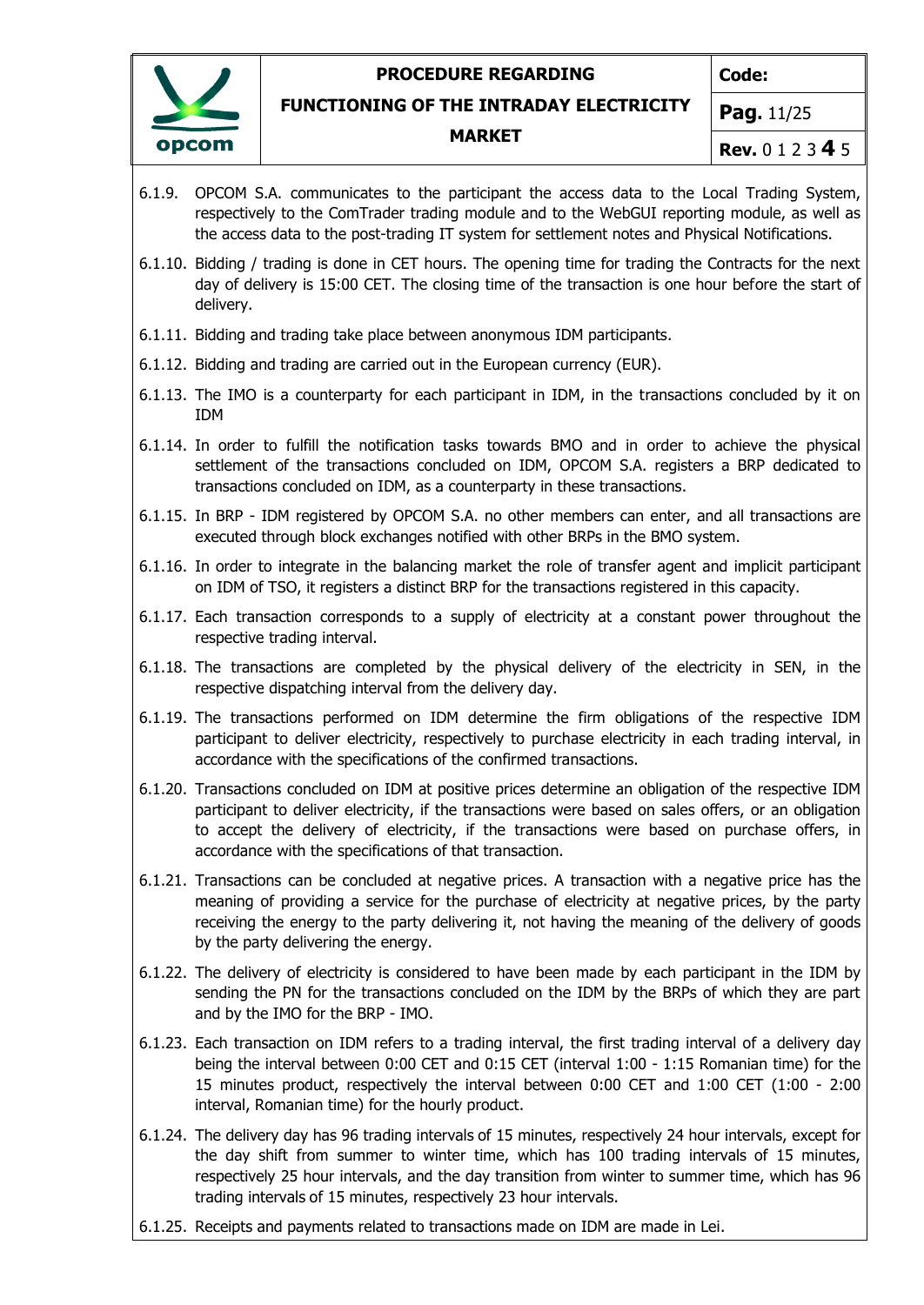

**Code:**

**FUNCTIONING OF THE INTRADAY ELECTRICITY**

#### **MARKET**

**Rev.** 0 1 2 3 **4** 5

**Pag.** 11/25

- 6.1.9. OPCOM S.A. communicates to the participant the access data to the Local Trading System, respectively to the ComTrader trading module and to the WebGUI reporting module, as well as the access data to the post-trading IT system for settlement notes and Physical Notifications.
- 6.1.10. Bidding / trading is done in CET hours. The opening time for trading the Contracts for the next day of delivery is 15:00 CET. The closing time of the transaction is one hour before the start of delivery.
- 6.1.11. Bidding and trading take place between anonymous IDM participants.
- 6.1.12. Bidding and trading are carried out in the European currency (EUR).
- 6.1.13. The IMO is a counterparty for each participant in IDM, in the transactions concluded by it on IDM
- 6.1.14. In order to fulfill the notification tasks towards BMO and in order to achieve the physical settlement of the transactions concluded on IDM, OPCOM S.A. registers a BRP dedicated to transactions concluded on IDM, as a counterparty in these transactions.
- 6.1.15. In BRP IDM registered by OPCOM S.A. no other members can enter, and all transactions are executed through block exchanges notified with other BRPs in the BMO system.
- 6.1.16. In order to integrate in the balancing market the role of transfer agent and implicit participant on IDM of TSO, it registers a distinct BRP for the transactions registered in this capacity.
- 6.1.17. Each transaction corresponds to a supply of electricity at a constant power throughout the respective trading interval.
- 6.1.18. The transactions are completed by the physical delivery of the electricity in SEN, in the respective dispatching interval from the delivery day.
- 6.1.19. The transactions performed on IDM determine the firm obligations of the respective IDM participant to deliver electricity, respectively to purchase electricity in each trading interval, in accordance with the specifications of the confirmed transactions.
- 6.1.20. Transactions concluded on IDM at positive prices determine an obligation of the respective IDM participant to deliver electricity, if the transactions were based on sales offers, or an obligation to accept the delivery of electricity, if the transactions were based on purchase offers, in accordance with the specifications of that transaction.
- 6.1.21. Transactions can be concluded at negative prices. A transaction with a negative price has the meaning of providing a service for the purchase of electricity at negative prices, by the party receiving the energy to the party delivering it, not having the meaning of the delivery of goods by the party delivering the energy.
- 6.1.22. The delivery of electricity is considered to have been made by each participant in the IDM by sending the PN for the transactions concluded on the IDM by the BRPs of which they are part and by the IMO for the BRP - IMO.
- 6.1.23. Each transaction on IDM refers to a trading interval, the first trading interval of a delivery day being the interval between 0:00 CET and 0:15 CET (interval 1:00 - 1:15 Romanian time) for the 15 minutes product, respectively the interval between 0:00 CET and 1:00 CET (1:00 - 2:00 interval, Romanian time) for the hourly product.
- 6.1.24. The delivery day has 96 trading intervals of 15 minutes, respectively 24 hour intervals, except for the day shift from summer to winter time, which has 100 trading intervals of 15 minutes, respectively 25 hour intervals, and the day transition from winter to summer time, which has 96 trading intervals of 15 minutes, respectively 23 hour intervals.
- 6.1.25. Receipts and payments related to transactions made on IDM are made in Lei.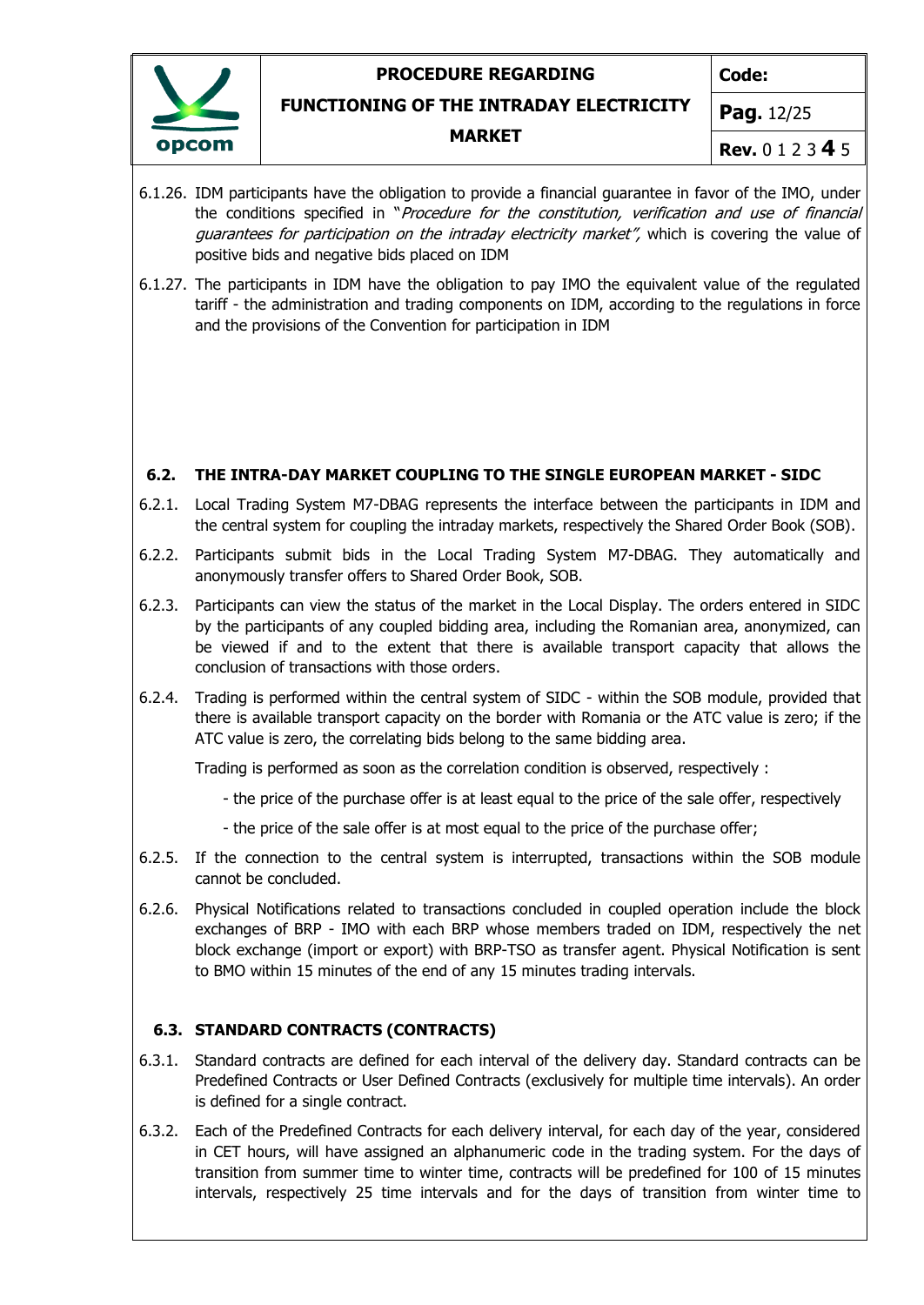**Code:**



# **FUNCTIONING OF THE INTRADAY ELECTRICITY**

#### **MARKET**

**Pag.** 12/25

**Rev.** 0 1 2 3 **4** 5

- 6.1.26. IDM participants have the obligation to provide a financial guarantee in favor of the IMO, under the conditions specified in "Procedure for the constitution, verification and use of financial guarantees for participation on the intraday electricity market", which is covering the value of positive bids and negative bids placed on IDM
- 6.1.27. The participants in IDM have the obligation to pay IMO the equivalent value of the regulated tariff - the administration and trading components on IDM, according to the regulations in force and the provisions of the Convention for participation in IDM

### **6.2. THE INTRA-DAY MARKET COUPLING TO THE SINGLE EUROPEAN MARKET - SIDC**

- 6.2.1. Local Trading System M7-DBAG represents the interface between the participants in IDM and the central system for coupling the intraday markets, respectively the Shared Order Book (SOB).
- 6.2.2. Participants submit bids in the Local Trading System M7-DBAG. They automatically and anonymously transfer offers to Shared Order Book, SOB.
- 6.2.3. Participants can view the status of the market in the Local Display. The orders entered in SIDC by the participants of any coupled bidding area, including the Romanian area, anonymized, can be viewed if and to the extent that there is available transport capacity that allows the conclusion of transactions with those orders.
- 6.2.4. Trading is performed within the central system of SIDC within the SOB module, provided that there is available transport capacity on the border with Romania or the ATC value is zero; if the ATC value is zero, the correlating bids belong to the same bidding area.

Trading is performed as soon as the correlation condition is observed, respectively :

- the price of the purchase offer is at least equal to the price of the sale offer, respectively
- the price of the sale offer is at most equal to the price of the purchase offer;
- 6.2.5. If the connection to the central system is interrupted, transactions within the SOB module cannot be concluded.
- 6.2.6. Physical Notifications related to transactions concluded in coupled operation include the block exchanges of BRP - IMO with each BRP whose members traded on IDM, respectively the net block exchange (import or export) with BRP-TSO as transfer agent. Physical Notification is sent to BMO within 15 minutes of the end of any 15 minutes trading intervals.

### **6.3. STANDARD CONTRACTS (CONTRACTS)**

- 6.3.1. Standard contracts are defined for each interval of the delivery day. Standard contracts can be Predefined Contracts or User Defined Contracts (exclusively for multiple time intervals). An order is defined for a single contract.
- 6.3.2. Each of the Predefined Contracts for each delivery interval, for each day of the year, considered in CET hours, will have assigned an alphanumeric code in the trading system. For the days of transition from summer time to winter time, contracts will be predefined for 100 of 15 minutes intervals, respectively 25 time intervals and for the days of transition from winter time to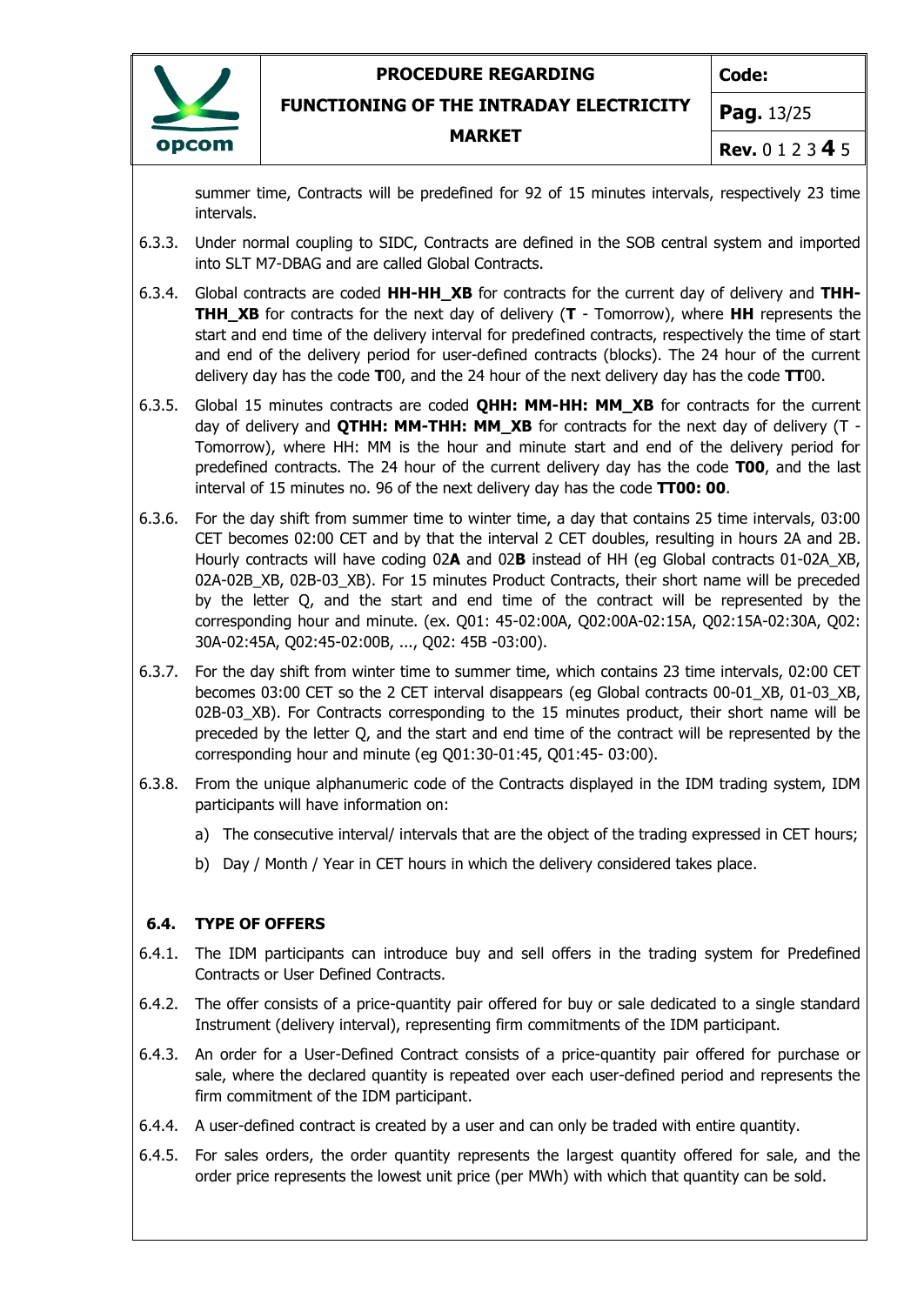

**Code:**

**FUNCTIONING OF THE INTRADAY ELECTRICITY**

**MARKET**

**Pag.** 13/25

**Rev.** 0 1 2 3 **4** 5

summer time, Contracts will be predefined for 92 of 15 minutes intervals, respectively 23 time intervals.

- 6.3.3. Under normal coupling to SIDC, Contracts are defined in the SOB central system and imported into SLT M7-DBAG and are called Global Contracts.
- 6.3.4. Global contracts are coded **HH-HH\_XB** for contracts for the current day of delivery and **THH-THH\_XB** for contracts for the next day of delivery (**T** - Tomorrow), where **HH** represents the start and end time of the delivery interval for predefined contracts, respectively the time of start and end of the delivery period for user-defined contracts (blocks). The 24 hour of the current delivery day has the code **T**00, and the 24 hour of the next delivery day has the code **TT**00.
- 6.3.5. Global 15 minutes contracts are coded **QHH: MM-HH: MM\_XB** for contracts for the current day of delivery and **QTHH: MM-THH: MM\_XB** for contracts for the next day of delivery (T - Tomorrow), where HH: MM is the hour and minute start and end of the delivery period for predefined contracts. The 24 hour of the current delivery day has the code **T00**, and the last interval of 15 minutes no. 96 of the next delivery day has the code **TT00: 00**.
- 6.3.6. For the day shift from summer time to winter time, a day that contains 25 time intervals, 03:00 CET becomes 02:00 CET and by that the interval 2 CET doubles, resulting in hours 2A and 2B. Hourly contracts will have coding 02**A** and 02**B** instead of HH (eg Global contracts 01-02A\_XB, 02A-02B\_XB, 02B-03\_XB). For 15 minutes Product Contracts, their short name will be preceded by the letter Q, and the start and end time of the contract will be represented by the corresponding hour and minute. (ex. Q01: 45-02:00A, Q02:00A-02:15A, Q02:15A-02:30A, Q02: 30A-02:45A, Q02:45-02:00B, ..., Q02: 45B -03:00).
- 6.3.7. For the day shift from winter time to summer time, which contains 23 time intervals, 02:00 CET becomes 03:00 CET so the 2 CET interval disappears (eg Global contracts 00-01\_XB, 01-03\_XB, 02B-03 XB). For Contracts corresponding to the 15 minutes product, their short name will be preceded by the letter Q, and the start and end time of the contract will be represented by the corresponding hour and minute (eg Q01:30-01:45, Q01:45- 03:00).
- 6.3.8. From the unique alphanumeric code of the Contracts displayed in the IDM trading system, IDM participants will have information on:
	- a) The consecutive interval/ intervals that are the object of the trading expressed in CET hours;
	- b) Day / Month / Year in CET hours in which the delivery considered takes place.

### **6.4. TYPE OF OFFERS**

- 6.4.1. The IDM participants can introduce buy and sell offers in the trading system for Predefined Contracts or User Defined Contracts.
- 6.4.2. The offer consists of a price-quantity pair offered for buy or sale dedicated to a single standard Instrument (delivery interval), representing firm commitments of the IDM participant.
- 6.4.3. An order for a User-Defined Contract consists of a price-quantity pair offered for purchase or sale, where the declared quantity is repeated over each user-defined period and represents the firm commitment of the IDM participant.
- 6.4.4. A user-defined contract is created by a user and can only be traded with entire quantity.
- 6.4.5. For sales orders, the order quantity represents the largest quantity offered for sale, and the order price represents the lowest unit price (per MWh) with which that quantity can be sold.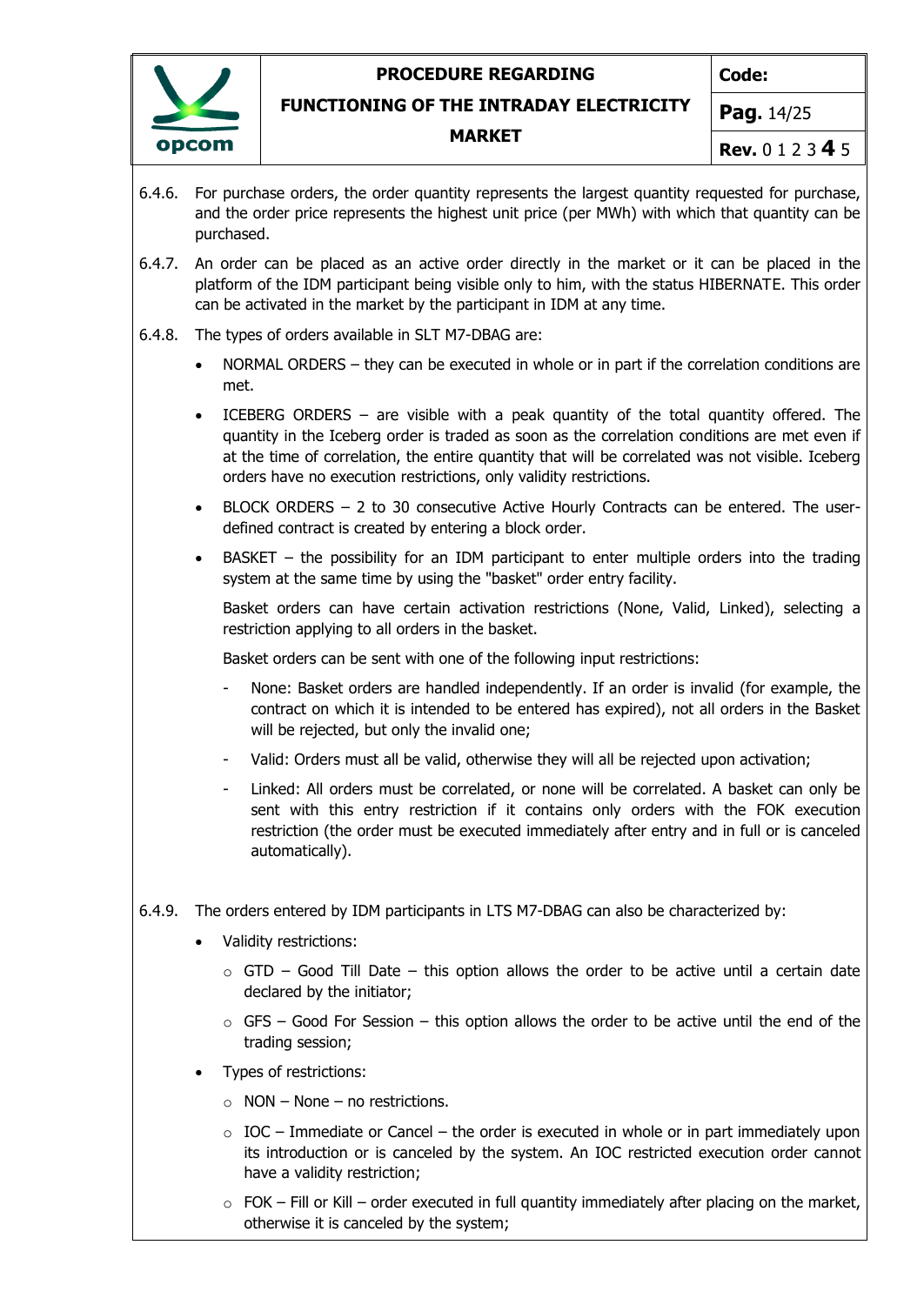

**Code:**

**FUNCTIONING OF THE INTRADAY ELECTRICITY**

#### **MARKET**

**Pag.** 14/25

- **Rev.** 0 1 2 3 **4** 5
- 6.4.6. For purchase orders, the order quantity represents the largest quantity requested for purchase, and the order price represents the highest unit price (per MWh) with which that quantity can be purchased.
- 6.4.7. An order can be placed as an active order directly in the market or it can be placed in the platform of the IDM participant being visible only to him, with the status HIBERNATE. This order can be activated in the market by the participant in IDM at any time.
- 6.4.8. The types of orders available in SLT M7-DBAG are:
	- NORMAL ORDERS they can be executed in whole or in part if the correlation conditions are met.
	- ICEBERG ORDERS are visible with a peak quantity of the total quantity offered. The quantity in the Iceberg order is traded as soon as the correlation conditions are met even if at the time of correlation, the entire quantity that will be correlated was not visible. Iceberg orders have no execution restrictions, only validity restrictions.
	- BLOCK ORDERS 2 to 30 consecutive Active Hourly Contracts can be entered. The userdefined contract is created by entering a block order.
	- BASKET the possibility for an IDM participant to enter multiple orders into the trading system at the same time by using the "basket" order entry facility.

Basket orders can have certain activation restrictions (None, Valid, Linked), selecting a restriction applying to all orders in the basket.

Basket orders can be sent with one of the following input restrictions:

- None: Basket orders are handled independently. If an order is invalid (for example, the contract on which it is intended to be entered has expired), not all orders in the Basket will be rejected, but only the invalid one;
- Valid: Orders must all be valid, otherwise they will all be rejected upon activation;
- Linked: All orders must be correlated, or none will be correlated. A basket can only be sent with this entry restriction if it contains only orders with the FOK execution restriction (the order must be executed immediately after entry and in full or is canceled automatically).
- 6.4.9. The orders entered by IDM participants in LTS M7-DBAG can also be characterized by:
	- Validity restrictions:
		- $\circ$  GTD Good Till Date this option allows the order to be active until a certain date declared by the initiator;
		- $\circ$  GFS Good For Session this option allows the order to be active until the end of the trading session;
	- Types of restrictions:
		- $\circ$  NON None no restrictions.
		- $\circ$  IOC Immediate or Cancel the order is executed in whole or in part immediately upon its introduction or is canceled by the system. An IOC restricted execution order cannot have a validity restriction;
		- $\circ$  FOK Fill or Kill order executed in full quantity immediately after placing on the market, otherwise it is canceled by the system;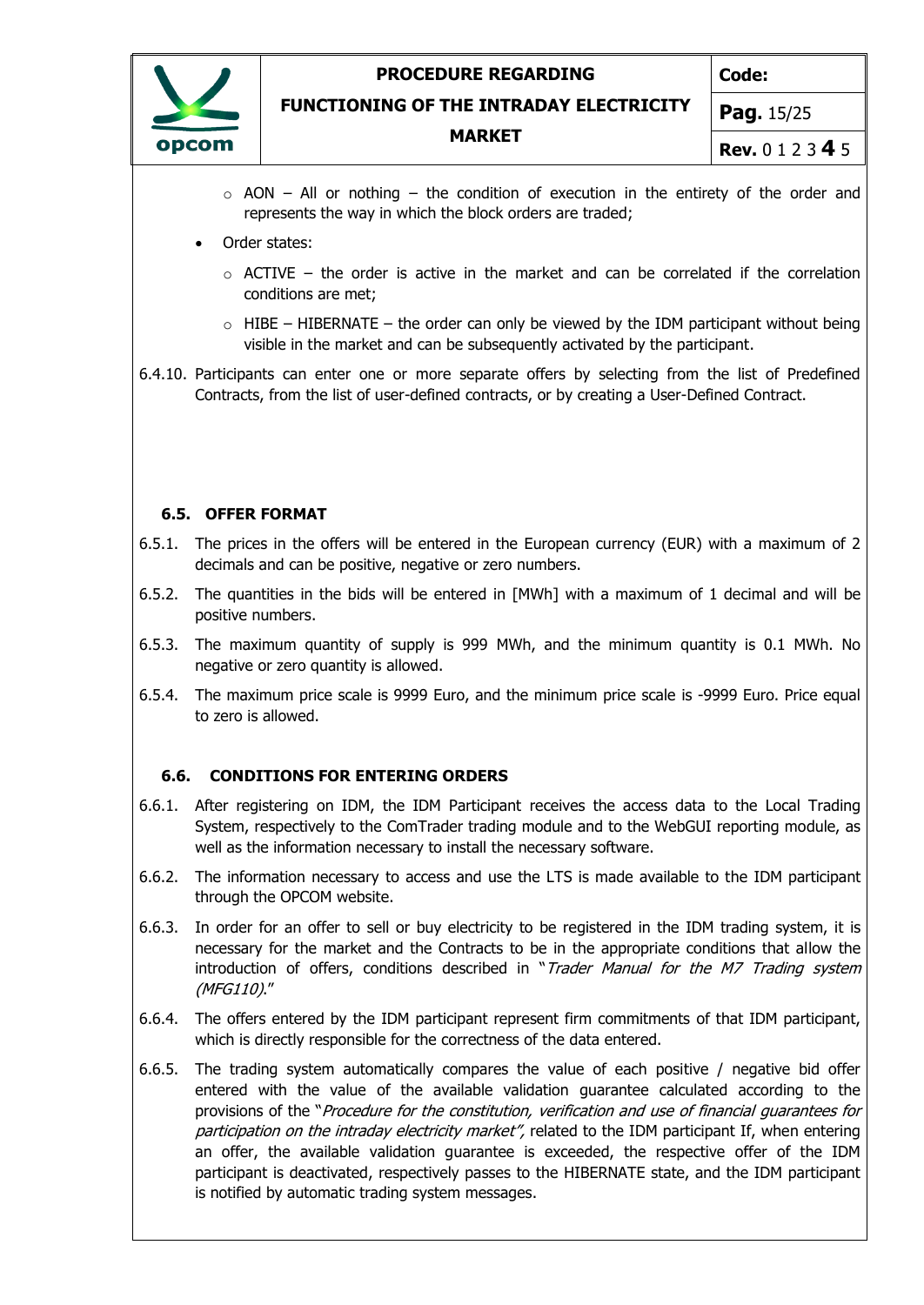

**Code:**

**FUNCTIONING OF THE INTRADAY ELECTRICITY**

#### **MARKET**

**Rev.** 0 1 2 3 **4** 5

**Pag.** 15/25

- $\circ$  AON All or nothing the condition of execution in the entirety of the order and represents the way in which the block orders are traded;
- Order states:
	- $\circ$  ACTIVE the order is active in the market and can be correlated if the correlation conditions are met;
	- $\circ$  HIBE HIBERNATE the order can only be viewed by the IDM participant without being visible in the market and can be subsequently activated by the participant.

6.4.10. Participants can enter one or more separate offers by selecting from the list of Predefined Contracts, from the list of user-defined contracts, or by creating a User-Defined Contract.

#### **6.5. OFFER FORMAT**

- 6.5.1. The prices in the offers will be entered in the European currency (EUR) with a maximum of 2 decimals and can be positive, negative or zero numbers.
- 6.5.2. The quantities in the bids will be entered in [MWh] with a maximum of 1 decimal and will be positive numbers.
- 6.5.3. The maximum quantity of supply is 999 MWh, and the minimum quantity is 0.1 MWh. No negative or zero quantity is allowed.
- 6.5.4. The maximum price scale is 9999 Euro, and the minimum price scale is -9999 Euro. Price equal to zero is allowed.

### **6.6. CONDITIONS FOR ENTERING ORDERS**

- 6.6.1. After registering on IDM, the IDM Participant receives the access data to the Local Trading System, respectively to the ComTrader trading module and to the WebGUI reporting module, as well as the information necessary to install the necessary software.
- 6.6.2. The information necessary to access and use the LTS is made available to the IDM participant through the OPCOM website.
- 6.6.3. In order for an offer to sell or buy electricity to be registered in the IDM trading system, it is necessary for the market and the Contracts to be in the appropriate conditions that allow the introduction of offers, conditions described in "Trader Manual for the M7 Trading system (MFG110)."
- 6.6.4. The offers entered by the IDM participant represent firm commitments of that IDM participant, which is directly responsible for the correctness of the data entered.
- 6.6.5. The trading system automatically compares the value of each positive / negative bid offer entered with the value of the available validation guarantee calculated according to the provisions of the "Procedure for the constitution, verification and use of financial guarantees for participation on the intraday electricity market", related to the IDM participant If, when entering an offer, the available validation guarantee is exceeded, the respective offer of the IDM participant is deactivated, respectively passes to the HIBERNATE state, and the IDM participant is notified by automatic trading system messages.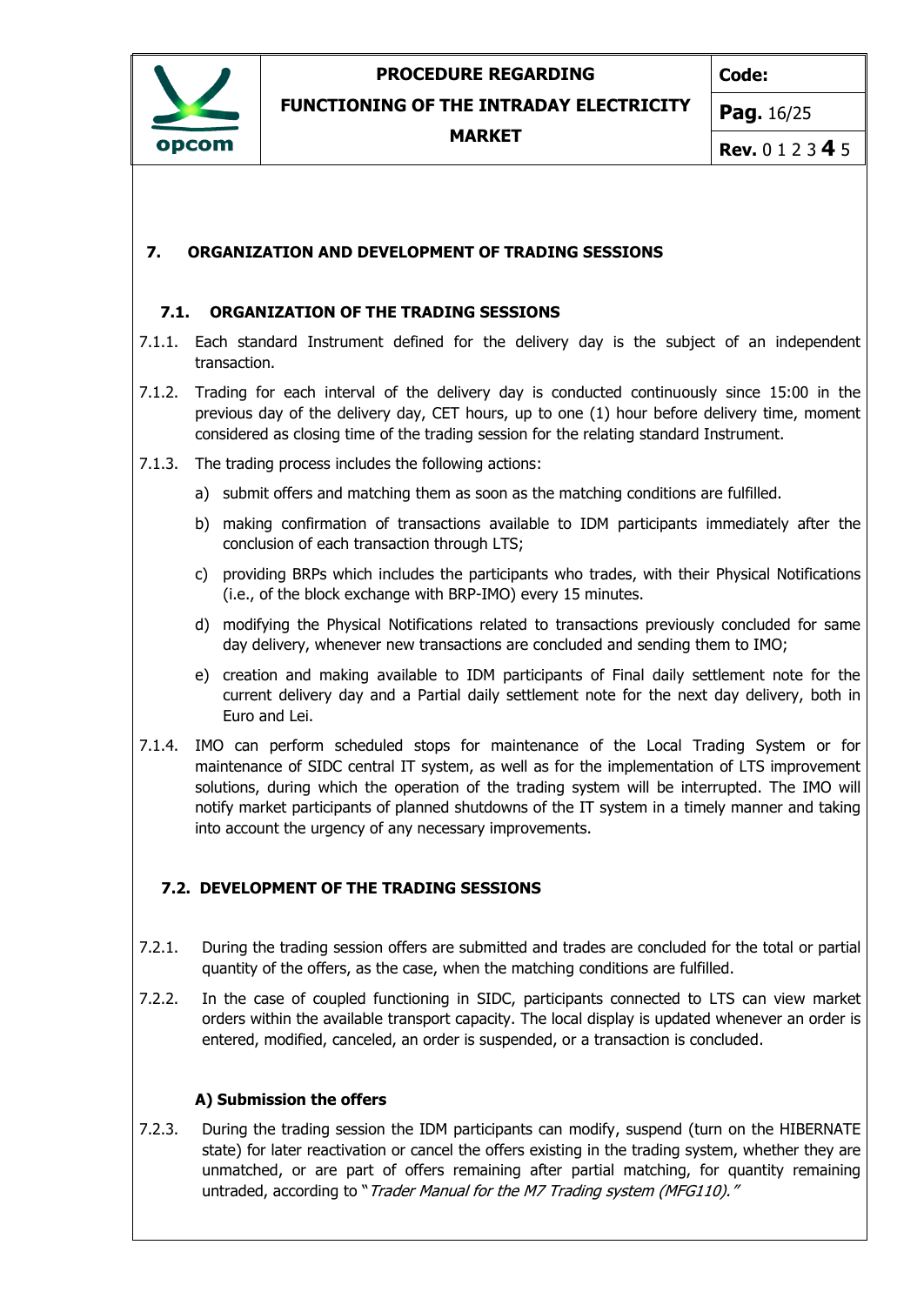

**Code:**

**FUNCTIONING OF THE INTRADAY ELECTRICITY**

**MARKET**

**Pag.** 16/25

**Rev.** 0 1 2 3 **4** 5

### <span id="page-15-0"></span>**7. ORGANIZATION AND DEVELOPMENT OF TRADING SESSIONS**

### **7.1. ORGANIZATION OF THE TRADING SESSIONS**

- 7.1.1. Each standard Instrument defined for the delivery day is the subject of an independent transaction.
- 7.1.2. Trading for each interval of the delivery day is conducted continuously since 15:00 in the previous day of the delivery day, CET hours, up to one (1) hour before delivery time, moment considered as closing time of the trading session for the relating standard Instrument.
- 7.1.3. The trading process includes the following actions:
	- a) submit offers and matching them as soon as the matching conditions are fulfilled.
	- b) making confirmation of transactions available to IDM participants immediately after the conclusion of each transaction through LTS;
	- c) providing BRPs which includes the participants who trades, with their Physical Notifications (i.e., of the block exchange with BRP-IMO) every 15 minutes.
	- d) modifying the Physical Notifications related to transactions previously concluded for same day delivery, whenever new transactions are concluded and sending them to IMO;
	- e) creation and making available to IDM participants of Final daily settlement note for the current delivery day and a Partial daily settlement note for the next day delivery, both in Euro and Lei.
- 7.1.4. IMO can perform scheduled stops for maintenance of the Local Trading System or for maintenance of SIDC central IT system, as well as for the implementation of LTS improvement solutions, during which the operation of the trading system will be interrupted. The IMO will notify market participants of planned shutdowns of the IT system in a timely manner and taking into account the urgency of any necessary improvements.

### **7.2. DEVELOPMENT OF THE TRADING SESSIONS**

- 7.2.1. During the trading session offers are submitted and trades are concluded for the total or partial quantity of the offers, as the case, when the matching conditions are fulfilled.
- 7.2.2. In the case of coupled functioning in SIDC, participants connected to LTS can view market orders within the available transport capacity. The local display is updated whenever an order is entered, modified, canceled, an order is suspended, or a transaction is concluded.

### **A) Submission the offers**

7.2.3. During the trading session the IDM participants can modify, suspend (turn on the HIBERNATE state) for later reactivation or cancel the offers existing in the trading system, whether they are unmatched, or are part of offers remaining after partial matching, for quantity remaining untraded, according to "Trader Manual for the M7 Trading system (MFG110)."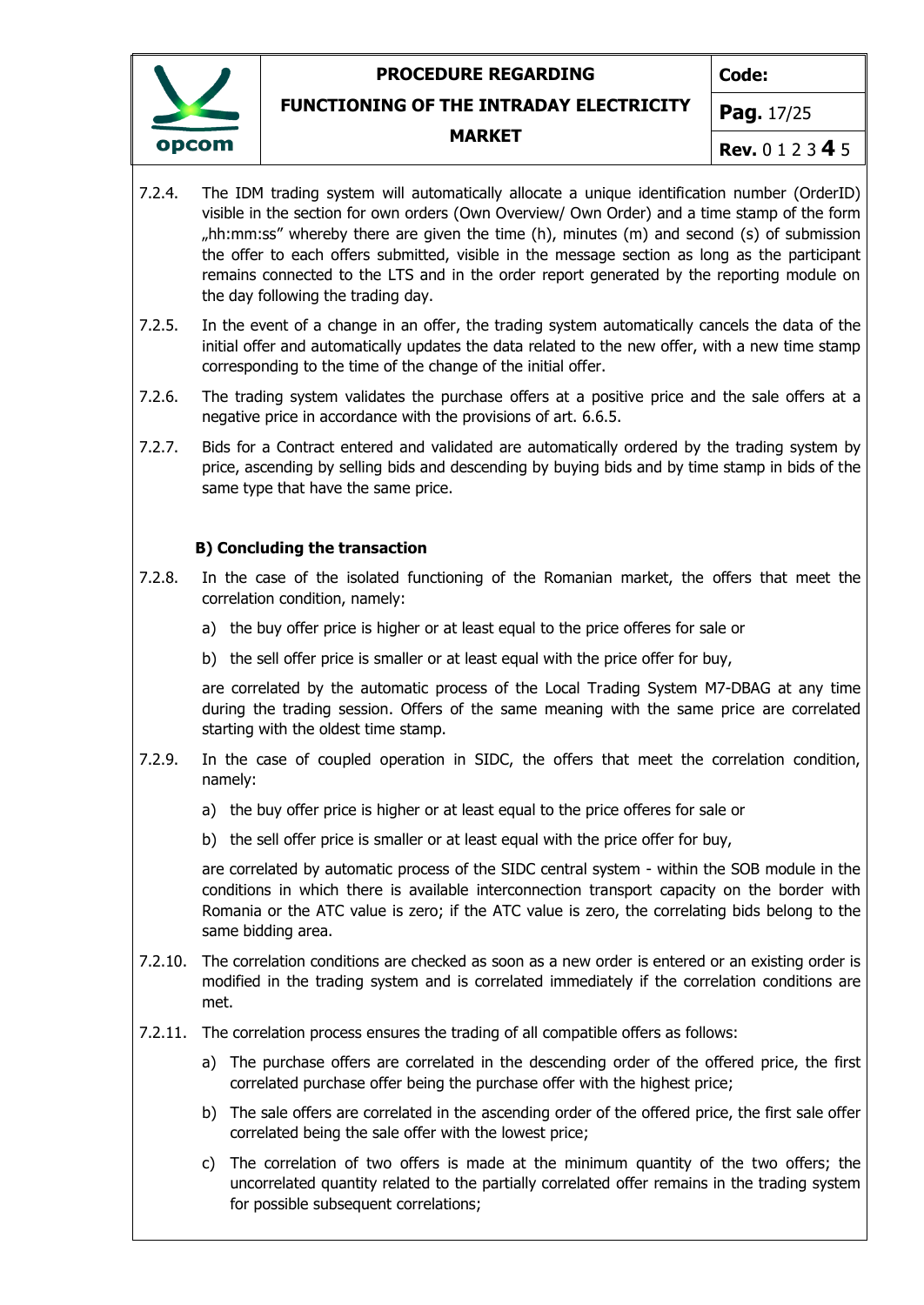

**Code:**

### **FUNCTIONING OF THE INTRADAY ELECTRICITY**

#### **MARKET**

**Pag.** 17/25

**Rev.** 0 1 2 3 **4** 5

- 7.2.4. The IDM trading system will automatically allocate a unique identification number (OrderID) visible in the section for own orders (Own Overview/ Own Order) and a time stamp of the form "hh:mm:ss" whereby there are given the time  $(h)$ , minutes  $(m)$  and second  $(s)$  of submission the offer to each offers submitted, visible in the message section as long as the participant remains connected to the LTS and in the order report generated by the reporting module on the day following the trading day.
- 7.2.5. In the event of a change in an offer, the trading system automatically cancels the data of the initial offer and automatically updates the data related to the new offer, with a new time stamp corresponding to the time of the change of the initial offer.
- 7.2.6. The trading system validates the purchase offers at a positive price and the sale offers at a negative price in accordance with the provisions of art. 6.6.5.
- 7.2.7. Bids for a Contract entered and validated are automatically ordered by the trading system by price, ascending by selling bids and descending by buying bids and by time stamp in bids of the same type that have the same price.

#### **B) Concluding the transaction**

- 7.2.8. In the case of the isolated functioning of the Romanian market, the offers that meet the correlation condition, namely:
	- a) the buy offer price is higher or at least equal to the price offeres for sale or
	- b) the sell offer price is smaller or at least equal with the price offer for buy,

are correlated by the automatic process of the Local Trading System M7-DBAG at any time during the trading session. Offers of the same meaning with the same price are correlated starting with the oldest time stamp.

- 7.2.9. In the case of coupled operation in SIDC, the offers that meet the correlation condition, namely:
	- a) the buy offer price is higher or at least equal to the price offeres for sale or
	- b) the sell offer price is smaller or at least equal with the price offer for buy,

are correlated by automatic process of the SIDC central system - within the SOB module in the conditions in which there is available interconnection transport capacity on the border with Romania or the ATC value is zero; if the ATC value is zero, the correlating bids belong to the same bidding area.

- 7.2.10. The correlation conditions are checked as soon as a new order is entered or an existing order is modified in the trading system and is correlated immediately if the correlation conditions are met.
- 7.2.11. The correlation process ensures the trading of all compatible offers as follows:
	- a) The purchase offers are correlated in the descending order of the offered price, the first correlated purchase offer being the purchase offer with the highest price;
	- b) The sale offers are correlated in the ascending order of the offered price, the first sale offer correlated being the sale offer with the lowest price;
	- c) The correlation of two offers is made at the minimum quantity of the two offers; the uncorrelated quantity related to the partially correlated offer remains in the trading system for possible subsequent correlations;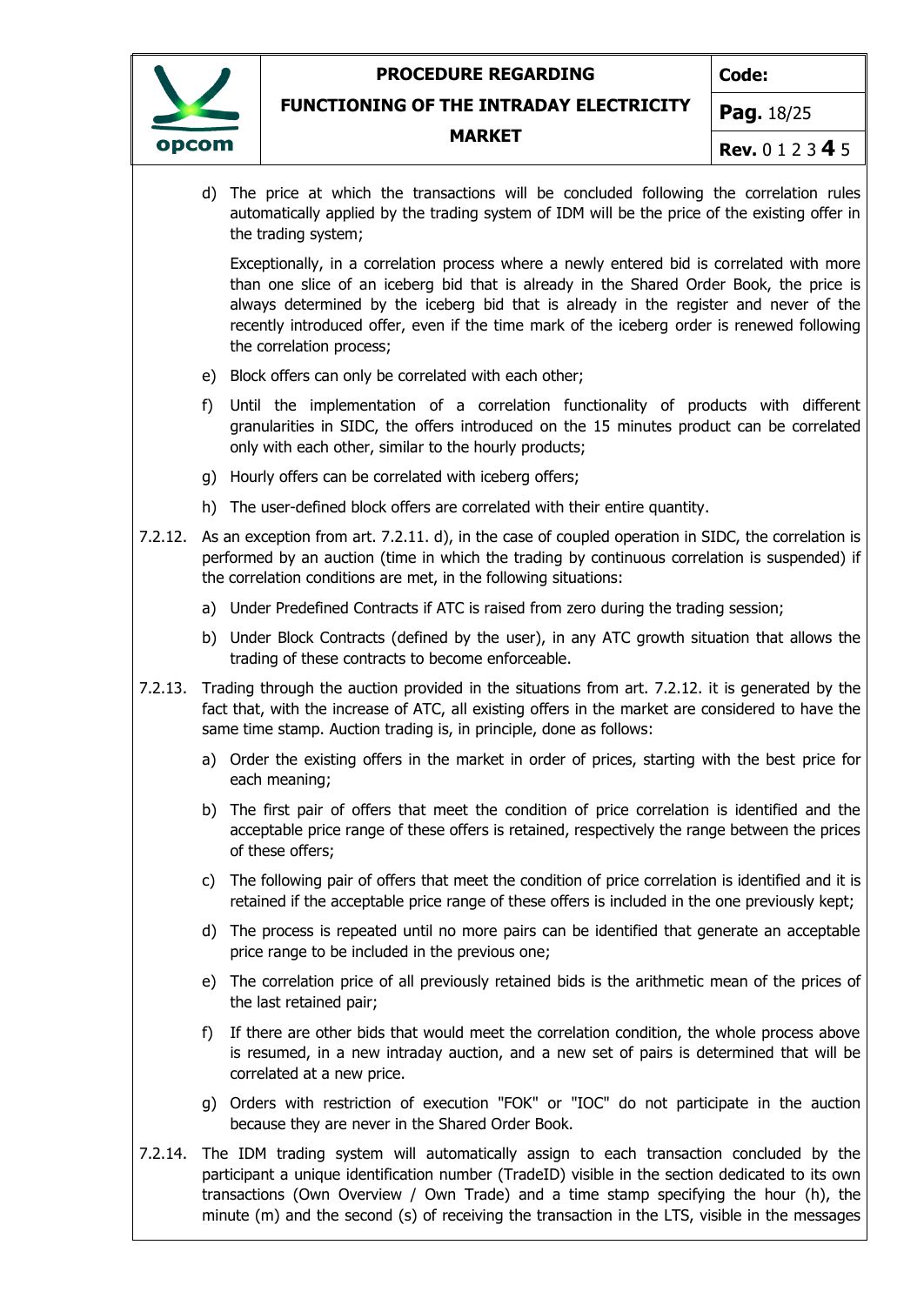**Code:**



#### **FUNCTIONING OF THE INTRADAY ELECTRICITY**

#### **MARKET**

**Pag.** 18/25

**Rev.** 0 1 2 3 **4** 5

d) The price at which the transactions will be concluded following the correlation rules automatically applied by the trading system of IDM will be the price of the existing offer in the trading system;

Exceptionally, in a correlation process where a newly entered bid is correlated with more than one slice of an iceberg bid that is already in the Shared Order Book, the price is always determined by the iceberg bid that is already in the register and never of the recently introduced offer, even if the time mark of the iceberg order is renewed following the correlation process;

- e) Block offers can only be correlated with each other;
- f) Until the implementation of a correlation functionality of products with different granularities in SIDC, the offers introduced on the 15 minutes product can be correlated only with each other, similar to the hourly products;
- g) Hourly offers can be correlated with iceberg offers;
- h) The user-defined block offers are correlated with their entire quantity.
- 7.2.12. As an exception from art. 7.2.11. d), in the case of coupled operation in SIDC, the correlation is performed by an auction (time in which the trading by continuous correlation is suspended) if the correlation conditions are met, in the following situations:
	- a) Under Predefined Contracts if ATC is raised from zero during the trading session;
	- b) Under Block Contracts (defined by the user), in any ATC growth situation that allows the trading of these contracts to become enforceable.
- 7.2.13. Trading through the auction provided in the situations from art. 7.2.12. it is generated by the fact that, with the increase of ATC, all existing offers in the market are considered to have the same time stamp. Auction trading is, in principle, done as follows:
	- a) Order the existing offers in the market in order of prices, starting with the best price for each meaning;
	- b) The first pair of offers that meet the condition of price correlation is identified and the acceptable price range of these offers is retained, respectively the range between the prices of these offers;
	- c) The following pair of offers that meet the condition of price correlation is identified and it is retained if the acceptable price range of these offers is included in the one previously kept;
	- d) The process is repeated until no more pairs can be identified that generate an acceptable price range to be included in the previous one;
	- e) The correlation price of all previously retained bids is the arithmetic mean of the prices of the last retained pair;
	- f) If there are other bids that would meet the correlation condition, the whole process above is resumed, in a new intraday auction, and a new set of pairs is determined that will be correlated at a new price.
	- g) Orders with restriction of execution "FOK" or "IOC" do not participate in the auction because they are never in the Shared Order Book.
- 7.2.14. The IDM trading system will automatically assign to each transaction concluded by the participant a unique identification number (TradeID) visible in the section dedicated to its own transactions (Own Overview / Own Trade) and a time stamp specifying the hour (h), the minute (m) and the second (s) of receiving the transaction in the LTS, visible in the messages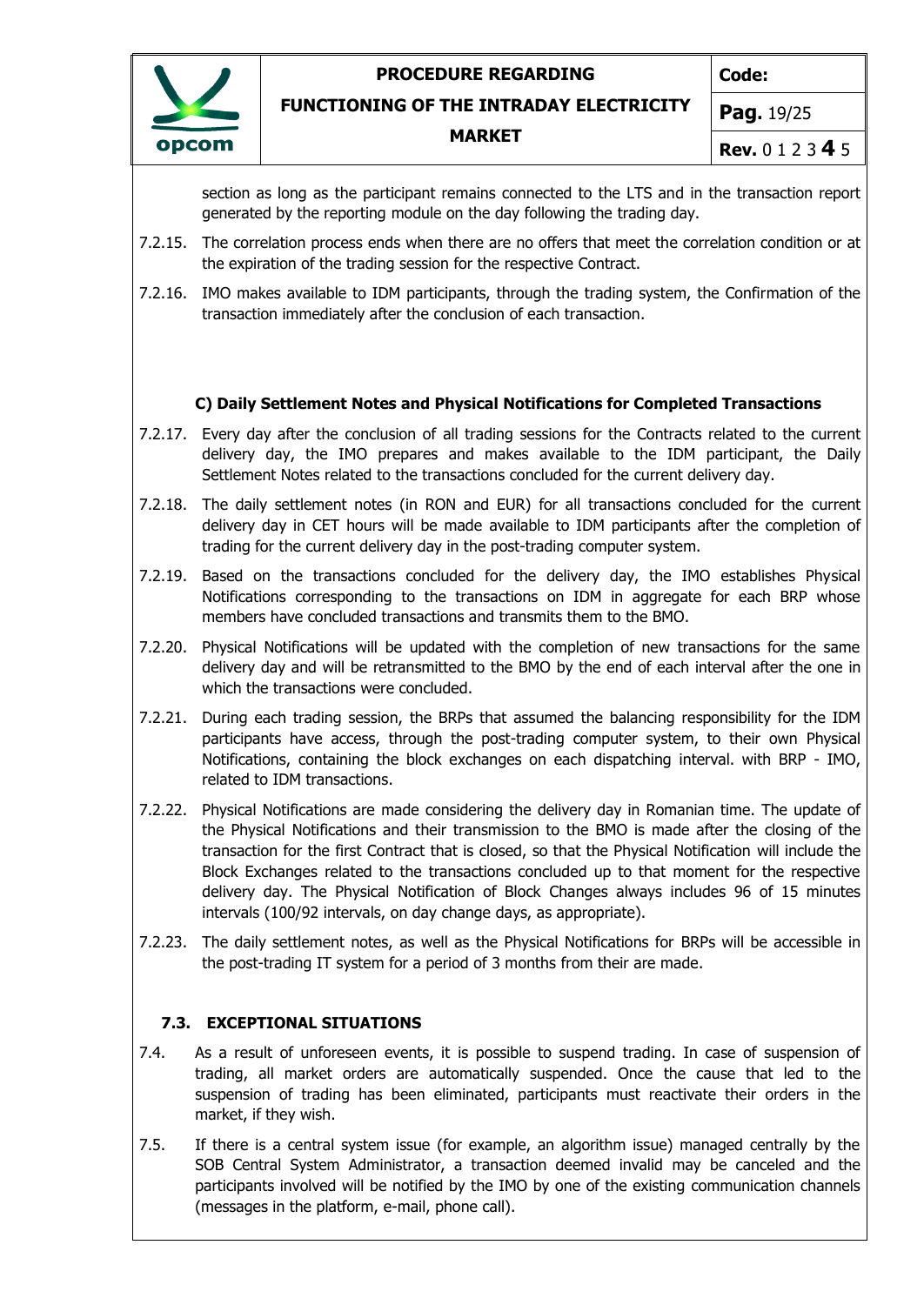

**Code:**

**FUNCTIONING OF THE INTRADAY ELECTRICITY**

#### **MARKET**

**Pag.** 19/25

**Rev.** 0 1 2 3 **4** 5

section as long as the participant remains connected to the LTS and in the transaction report generated by the reporting module on the day following the trading day.

- 7.2.15. The correlation process ends when there are no offers that meet the correlation condition or at the expiration of the trading session for the respective Contract.
- 7.2.16. IMO makes available to IDM participants, through the trading system, the Confirmation of the transaction immediately after the conclusion of each transaction.

### **C) Daily Settlement Notes and Physical Notifications for Completed Transactions**

- 7.2.17. Every day after the conclusion of all trading sessions for the Contracts related to the current delivery day, the IMO prepares and makes available to the IDM participant, the Daily Settlement Notes related to the transactions concluded for the current delivery day.
- 7.2.18. The daily settlement notes (in RON and EUR) for all transactions concluded for the current delivery day in CET hours will be made available to IDM participants after the completion of trading for the current delivery day in the post-trading computer system.
- 7.2.19. Based on the transactions concluded for the delivery day, the IMO establishes Physical Notifications corresponding to the transactions on IDM in aggregate for each BRP whose members have concluded transactions and transmits them to the BMO.
- 7.2.20. Physical Notifications will be updated with the completion of new transactions for the same delivery day and will be retransmitted to the BMO by the end of each interval after the one in which the transactions were concluded.
- 7.2.21. During each trading session, the BRPs that assumed the balancing responsibility for the IDM participants have access, through the post-trading computer system, to their own Physical Notifications, containing the block exchanges on each dispatching interval. with BRP - IMO, related to IDM transactions.
- 7.2.22. Physical Notifications are made considering the delivery day in Romanian time. The update of the Physical Notifications and their transmission to the BMO is made after the closing of the transaction for the first Contract that is closed, so that the Physical Notification will include the Block Exchanges related to the transactions concluded up to that moment for the respective delivery day. The Physical Notification of Block Changes always includes 96 of 15 minutes intervals (100/92 intervals, on day change days, as appropriate).
- 7.2.23. The daily settlement notes, as well as the Physical Notifications for BRPs will be accessible in the post-trading IT system for a period of 3 months from their are made.

#### **7.3. EXCEPTIONAL SITUATIONS**

- 7.4. As a result of unforeseen events, it is possible to suspend trading. In case of suspension of trading, all market orders are automatically suspended. Once the cause that led to the suspension of trading has been eliminated, participants must reactivate their orders in the market, if they wish.
- 7.5. If there is a central system issue (for example, an algorithm issue) managed centrally by the SOB Central System Administrator, a transaction deemed invalid may be canceled and the participants involved will be notified by the IMO by one of the existing communication channels (messages in the platform, e-mail, phone call).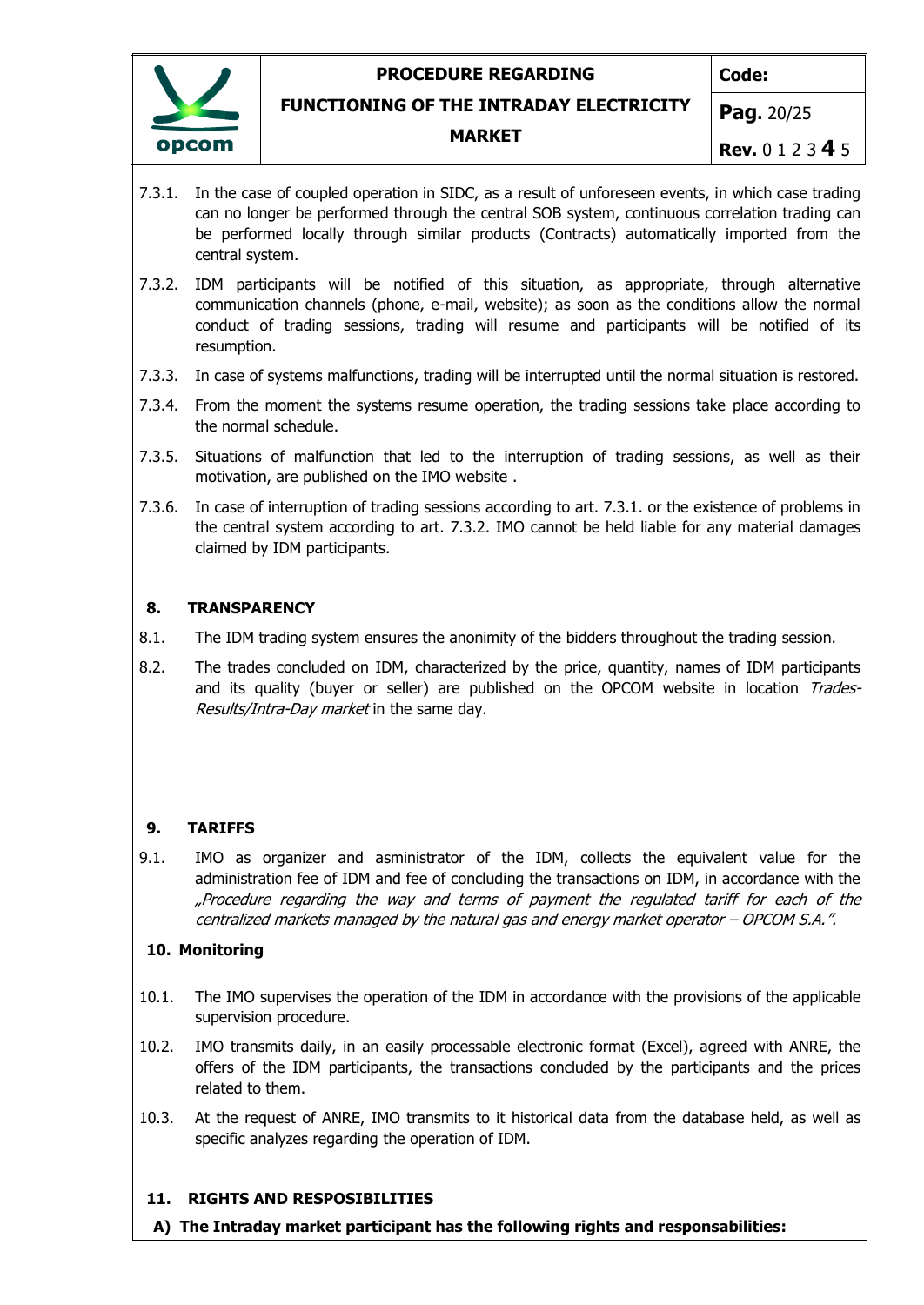

**Code:**

#### **FUNCTIONING OF THE INTRADAY ELECTRICITY**

#### **MARKET**

**Pag.** 20/25

- **Rev.** 0 1 2 3 **4** 5
- 7.3.1. In the case of coupled operation in SIDC, as a result of unforeseen events, in which case trading can no longer be performed through the central SOB system, continuous correlation trading can be performed locally through similar products (Contracts) automatically imported from the central system.
- 7.3.2. IDM participants will be notified of this situation, as appropriate, through alternative communication channels (phone, e-mail, website); as soon as the conditions allow the normal conduct of trading sessions, trading will resume and participants will be notified of its resumption.
- 7.3.3. In case of systems malfunctions, trading will be interrupted until the normal situation is restored.
- 7.3.4. From the moment the systems resume operation, the trading sessions take place according to the normal schedule.
- 7.3.5. Situations of malfunction that led to the interruption of trading sessions, as well as their motivation, are published on the IMO website .
- 7.3.6. In case of interruption of trading sessions according to art. 7.3.1. or the existence of problems in the central system according to art. 7.3.2. IMO cannot be held liable for any material damages claimed by IDM participants.

#### <span id="page-19-0"></span>**8. TRANSPARENCY**

- 8.1. The IDM trading system ensures the anonimity of the bidders throughout the trading session.
- 8.2. The trades concluded on IDM, characterized by the price, quantity, names of IDM participants and its quality (buyer or seller) are published on the OPCOM website in location Trades-Results/Intra-Day market in the same day.

#### <span id="page-19-1"></span>**9. TARIFFS**

9.1. IMO as organizer and asministrator of the IDM, collects the equivalent value for the administration fee of IDM and fee of concluding the transactions on IDM, in accordance with the "Procedure regarding the way and terms of payment the regulated tariff for each of the centralized markets managed by the natural gas and energy market operator – OPCOM S.A.".

#### <span id="page-19-2"></span>**10. Monitoring**

- 10.1. The IMO supervises the operation of the IDM in accordance with the provisions of the applicable supervision procedure.
- 10.2. IMO transmits daily, in an easily processable electronic format (Excel), agreed with ANRE, the offers of the IDM participants, the transactions concluded by the participants and the prices related to them.
- 10.3. At the request of ANRE, IMO transmits to it historical data from the database held, as well as specific analyzes regarding the operation of IDM.

#### <span id="page-19-3"></span>**11. RIGHTS AND RESPOSIBILITIES**

**A) The Intraday market participant has the following rights and responsabilities:**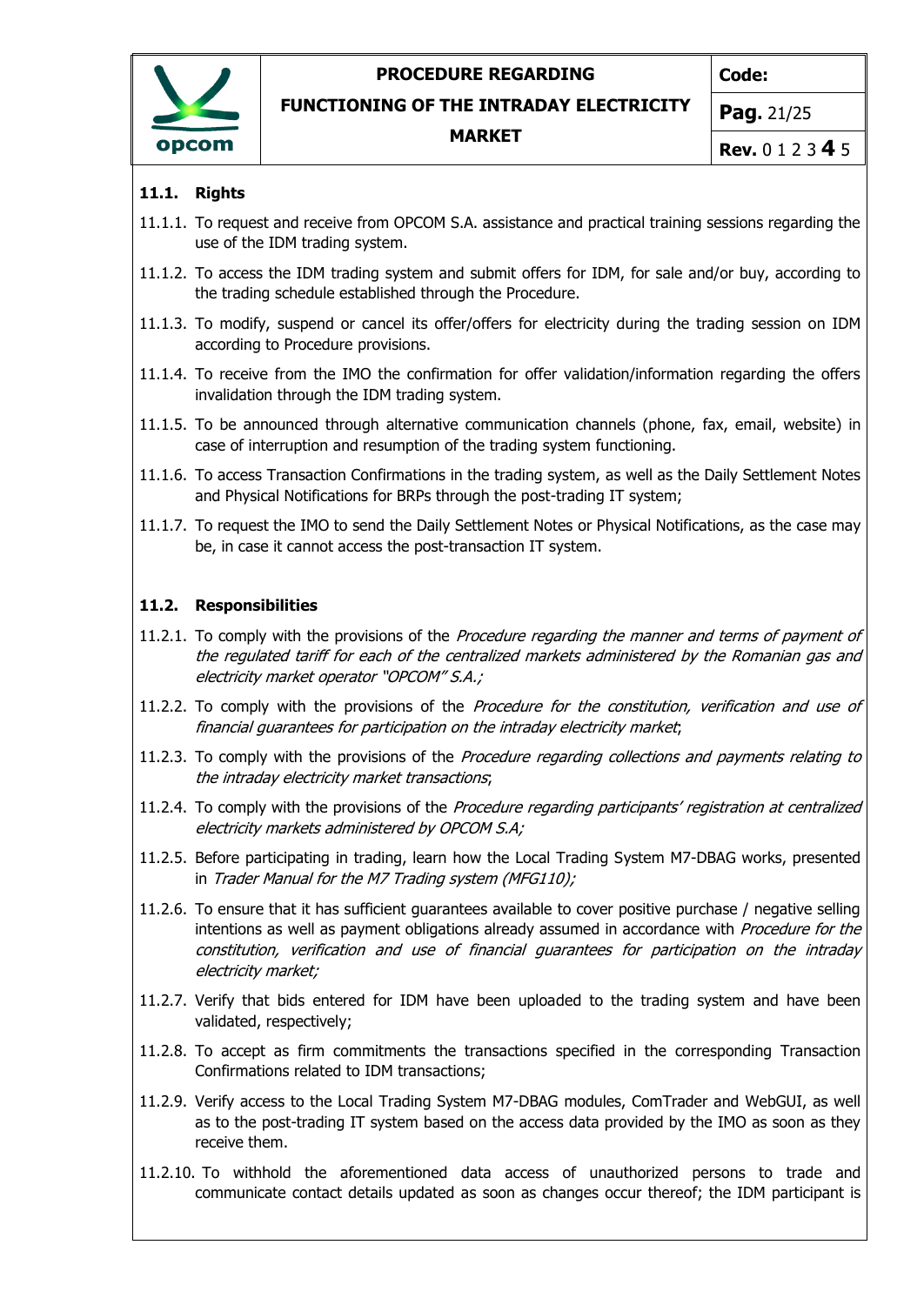

**Code:**

**FUNCTIONING OF THE INTRADAY ELECTRICITY**

#### **MARKET**

**Pag.** 21/25

**Rev.** 0 1 2 3 **4** 5

### **11.1. Rights**

- 11.1.1. To request and receive from OPCOM S.A. assistance and practical training sessions regarding the use of the IDM trading system.
- 11.1.2. To access the IDM trading system and submit offers for IDM, for sale and/or buy, according to the trading schedule established through the Procedure.
- 11.1.3. To modify, suspend or cancel its offer/offers for electricity during the trading session on IDM according to Procedure provisions.
- 11.1.4. To receive from the IMO the confirmation for offer validation/information regarding the offers invalidation through the IDM trading system.
- 11.1.5. To be announced through alternative communication channels (phone, fax, email, website) in case of interruption and resumption of the trading system functioning.
- 11.1.6. To access Transaction Confirmations in the trading system, as well as the Daily Settlement Notes and Physical Notifications for BRPs through the post-trading IT system;
- 11.1.7. To request the IMO to send the Daily Settlement Notes or Physical Notifications, as the case may be, in case it cannot access the post-transaction IT system.

### **11.2. Responsibilities**

- 11.2.1. To comply with the provisions of the Procedure regarding the manner and terms of payment of the regulated tariff for each of the centralized markets administered by the Romanian gas and electricity market operator "OPCOM" S.A.;
- 11.2.2. To comply with the provisions of the Procedure for the constitution, verification and use of financial guarantees for participation on the intraday electricity market;
- 11.2.3. To comply with the provisions of the Procedure regarding collections and payments relating to the intraday electricity market transactions;
- 11.2.4. To comply with the provisions of the *Procedure regarding participants' registration at centralized* electricity markets administered by OPCOM S.A;
- 11.2.5. Before participating in trading, learn how the Local Trading System M7-DBAG works, presented in Trader Manual for the M7 Trading system (MFG110);
- 11.2.6. To ensure that it has sufficient guarantees available to cover positive purchase / negative selling intentions as well as payment obligations already assumed in accordance with Procedure for the constitution, verification and use of financial guarantees for participation on the intraday electricity market;
- 11.2.7. Verify that bids entered for IDM have been uploaded to the trading system and have been validated, respectively;
- 11.2.8. To accept as firm commitments the transactions specified in the corresponding Transaction Confirmations related to IDM transactions;
- 11.2.9. Verify access to the Local Trading System M7-DBAG modules, ComTrader and WebGUI, as well as to the post-trading IT system based on the access data provided by the IMO as soon as they receive them.
- 11.2.10. To withhold the aforementioned data access of unauthorized persons to trade and communicate contact details updated as soon as changes occur thereof; the IDM participant is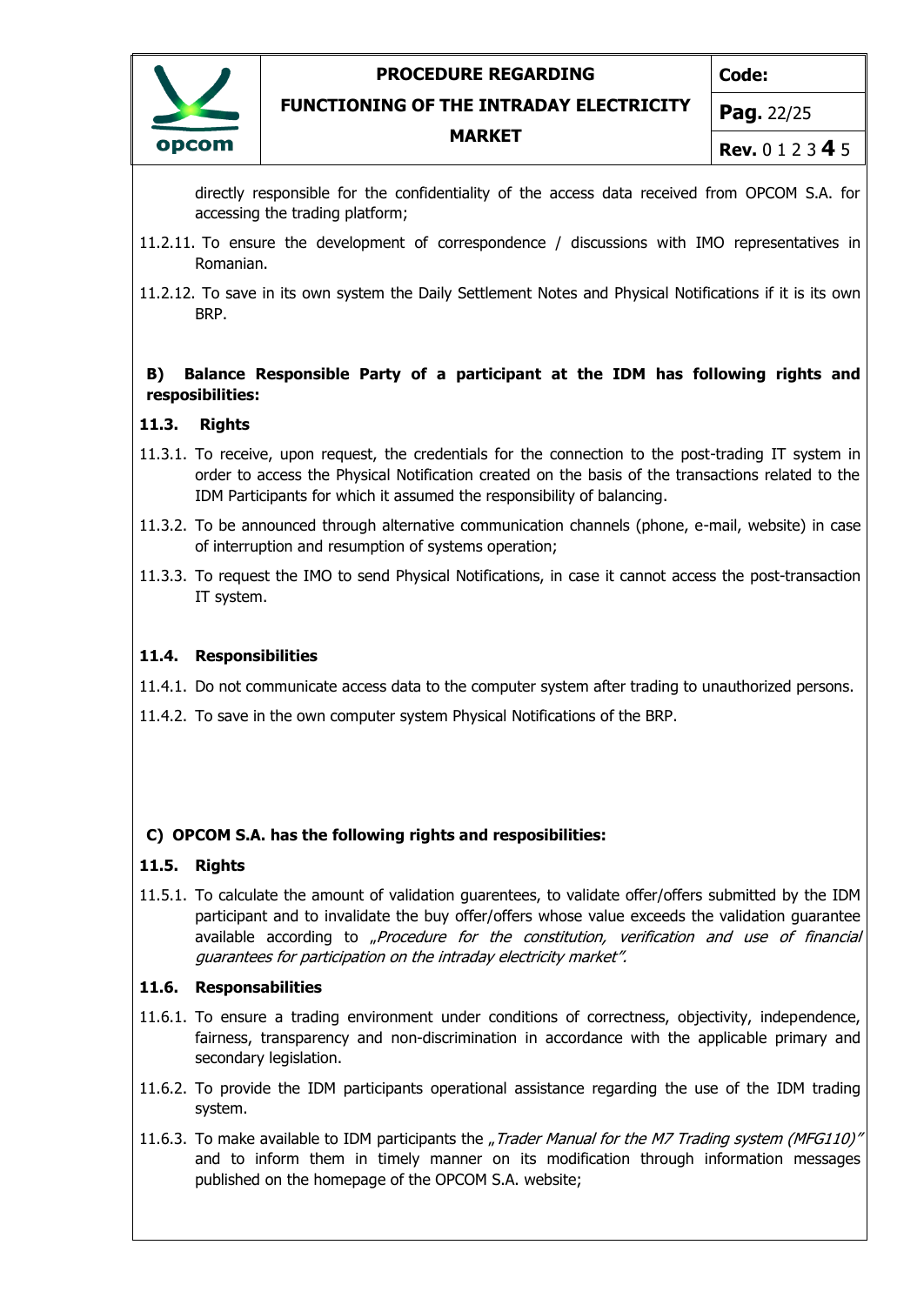

**Code:**

**FUNCTIONING OF THE INTRADAY ELECTRICITY**

**MARKET**

**Pag.** 22/25

**Rev.** 0 1 2 3 **4** 5

directly responsible for the confidentiality of the access data received from OPCOM S.A. for accessing the trading platform;

- 11.2.11. To ensure the development of correspondence / discussions with IMO representatives in Romanian.
- 11.2.12. To save in its own system the Daily Settlement Notes and Physical Notifications if it is its own BRP.

#### **B) Balance Responsible Party of a participant at the IDM has following rights and resposibilities:**

#### **11.3. Rights**

- 11.3.1. To receive, upon request, the credentials for the connection to the post-trading IT system in order to access the Physical Notification created on the basis of the transactions related to the IDM Participants for which it assumed the responsibility of balancing.
- 11.3.2. To be announced through alternative communication channels (phone, e-mail, website) in case of interruption and resumption of systems operation;
- 11.3.3. To request the IMO to send Physical Notifications, in case it cannot access the post-transaction IT system.

#### **11.4. Responsibilities**

11.4.1. Do not communicate access data to the computer system after trading to unauthorized persons.

11.4.2. To save in the own computer system Physical Notifications of the BRP.

#### **C) OPCOM S.A. has the following rights and resposibilities:**

#### **11.5. Rights**

11.5.1. To calculate the amount of validation guarentees, to validate offer/offers submitted by the IDM participant and to invalidate the buy offer/offers whose value exceeds the validation guarantee available according to "Procedure for the constitution, verification and use of financial guarantees for participation on the intraday electricity market".

#### **11.6. Responsabilities**

- 11.6.1. To ensure a trading environment under conditions of correctness, objectivity, independence, fairness, transparency and non-discrimination in accordance with the applicable primary and secondary legislation.
- 11.6.2. To provide the IDM participants operational assistance regarding the use of the IDM trading system.
- 11.6.3. To make available to IDM participants the "Trader Manual for the M7 Trading system (MFG110)" and to inform them in timely manner on its modification through information messages published on the homepage of the OPCOM S.A. website;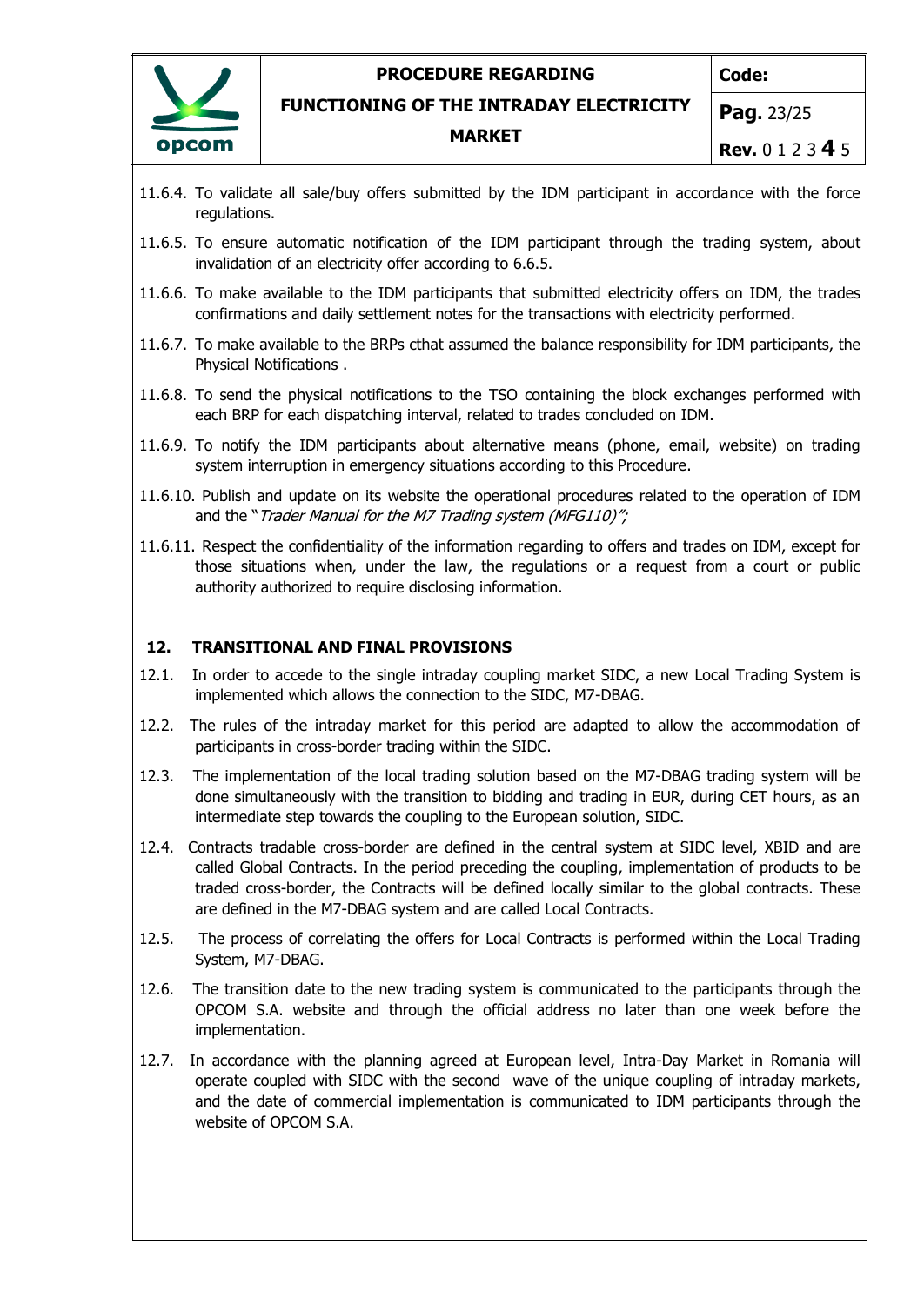

**Code:**

**FUNCTIONING OF THE INTRADAY ELECTRICITY**

**MARKET**

**Pag.** 23/25

- **Rev.** 0 1 2 3 **4** 5
- 11.6.4. To validate all sale/buy offers submitted by the IDM participant in accordance with the force regulations.
- 11.6.5. To ensure automatic notification of the IDM participant through the trading system, about invalidation of an electricity offer according to 6.6.5.
- 11.6.6. To make available to the IDM participants that submitted electricity offers on IDM, the trades confirmations and daily settlement notes for the transactions with electricity performed.
- 11.6.7. To make available to the BRPs cthat assumed the balance responsibility for IDM participants, the Physical Notifications .
- 11.6.8. To send the physical notifications to the TSO containing the block exchanges performed with each BRP for each dispatching interval, related to trades concluded on IDM.
- 11.6.9. To notify the IDM participants about alternative means (phone, email, website) on trading system interruption in emergency situations according to this Procedure.
- 11.6.10. Publish and update on its website the operational procedures related to the operation of IDM and the "Trader Manual for the M7 Trading system (MFG110)";
- 11.6.11. Respect the confidentiality of the information regarding to offers and trades on IDM, except for those situations when, under the law, the regulations or a request from a court or public authority authorized to require disclosing information.

### <span id="page-22-0"></span>**12. TRANSITIONAL AND FINAL PROVISIONS**

- 12.1. In order to accede to the single intraday coupling market SIDC, a new Local Trading System is implemented which allows the connection to the SIDC, M7-DBAG.
- 12.2. The rules of the intraday market for this period are adapted to allow the accommodation of participants in cross-border trading within the SIDC.
- 12.3. The implementation of the local trading solution based on the M7-DBAG trading system will be done simultaneously with the transition to bidding and trading in EUR, during CET hours, as an intermediate step towards the coupling to the European solution, SIDC.
- 12.4. Contracts tradable cross-border are defined in the central system at SIDC level, XBID and are called Global Contracts. In the period preceding the coupling, implementation of products to be traded cross-border, the Contracts will be defined locally similar to the global contracts. These are defined in the M7-DBAG system and are called Local Contracts.
- 12.5. The process of correlating the offers for Local Contracts is performed within the Local Trading System, M7-DBAG.
- 12.6. The transition date to the new trading system is communicated to the participants through the OPCOM S.A. website and through the official address no later than one week before the implementation.
- 12.7. In accordance with the planning agreed at European level, Intra-Day Market in Romania will operate coupled with SIDC with the second wave of the unique coupling of intraday markets, and the date of commercial implementation is communicated to IDM participants through the website of OPCOM S.A.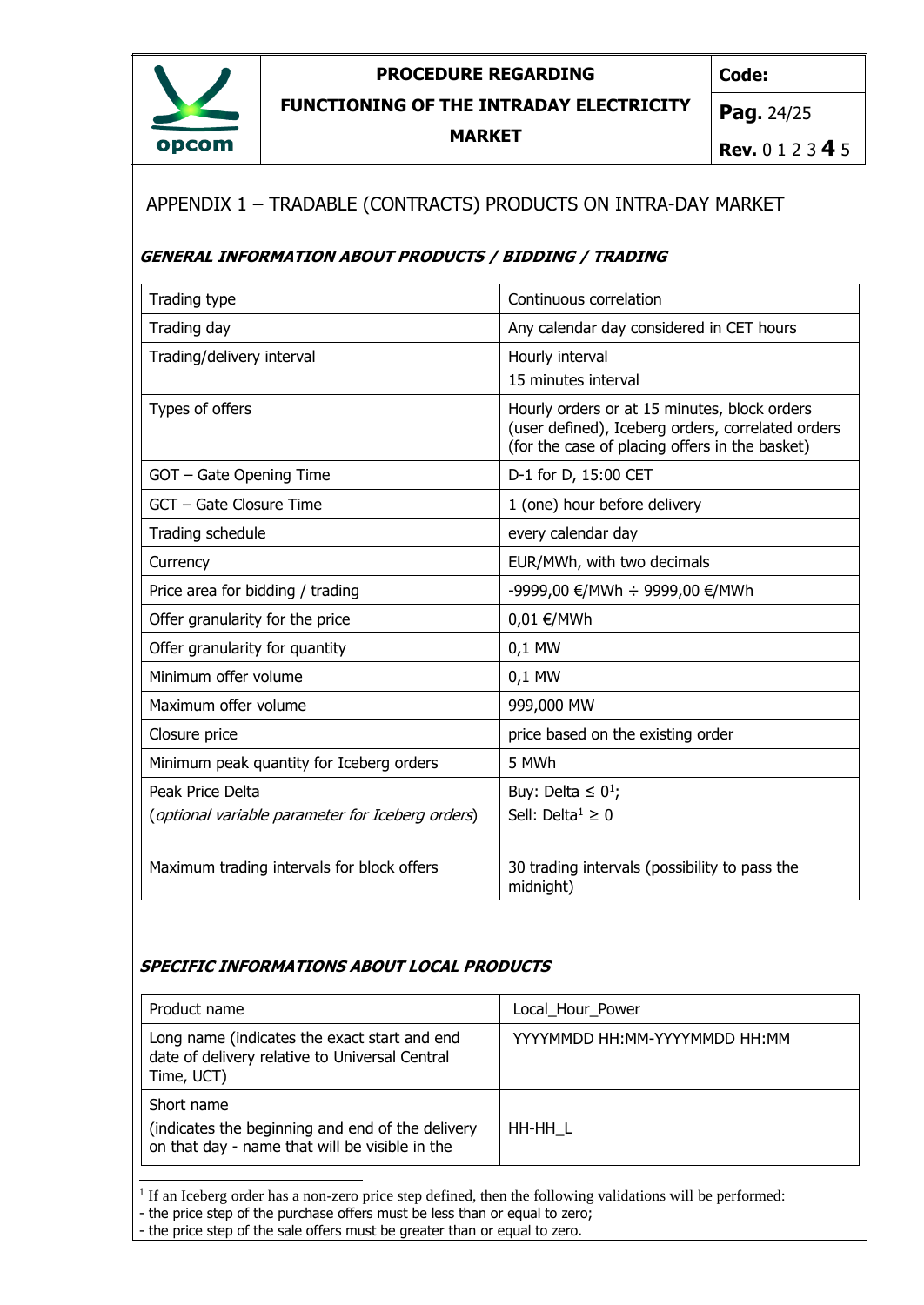

**Code:**

**FUNCTIONING OF THE INTRADAY ELECTRICITY**

**MARKET**

**Pag.** 24/25

**Rev.** 0 1 2 3 **4** 5

# <span id="page-23-0"></span>APPENDIX 1 – TRADABLE (CONTRACTS) PRODUCTS ON INTRA-DAY MARKET

### **GENERAL INFORMATION ABOUT PRODUCTS / BIDDING / TRADING**

| Trading type                                     | Continuous correlation                                                                                                                              |
|--------------------------------------------------|-----------------------------------------------------------------------------------------------------------------------------------------------------|
| Trading day                                      | Any calendar day considered in CET hours                                                                                                            |
| Trading/delivery interval                        | Hourly interval<br>15 minutes interval                                                                                                              |
| Types of offers                                  | Hourly orders or at 15 minutes, block orders<br>(user defined), Iceberg orders, correlated orders<br>(for the case of placing offers in the basket) |
| GOT - Gate Opening Time                          | D-1 for D, 15:00 CET                                                                                                                                |
| GCT - Gate Closure Time                          | 1 (one) hour before delivery                                                                                                                        |
| Trading schedule                                 | every calendar day                                                                                                                                  |
| Currency                                         | EUR/MWh, with two decimals                                                                                                                          |
| Price area for bidding / trading                 | -9999,00 €/MWh ÷ 9999,00 €/MWh                                                                                                                      |
| Offer granularity for the price                  | 0,01 €/MWh                                                                                                                                          |
| Offer granularity for quantity                   | 0,1 MW                                                                                                                                              |
| Minimum offer volume                             | 0,1 MW                                                                                                                                              |
| Maximum offer volume                             | 999,000 MW                                                                                                                                          |
| Closure price                                    | price based on the existing order                                                                                                                   |
| Minimum peak quantity for Iceberg orders         | 5 MWh                                                                                                                                               |
| Peak Price Delta                                 | Buy: Delta $\leq 0^1$ ;                                                                                                                             |
| (optional variable parameter for Iceberg orders) | Sell: Delta <sup>1</sup> $\geq$ 0                                                                                                                   |
| Maximum trading intervals for block offers       | 30 trading intervals (possibility to pass the<br>midnight)                                                                                          |

### **SPECIFIC INFORMATIONS ABOUT LOCAL PRODUCTS**

| Product name                                                                                                     | Local Hour Power                |
|------------------------------------------------------------------------------------------------------------------|---------------------------------|
| Long name (indicates the exact start and end<br>date of delivery relative to Universal Central<br>Time, UCT)     | YYYYMMDD HH: MM-YYYYMMDD HH: MM |
| Short name<br>(indicates the beginning and end of the delivery<br>on that day - name that will be visible in the | HH-HH L                         |

<sup>&</sup>lt;sup>1</sup> If an Iceberg order has a non-zero price step defined, then the following validations will be performed:

<sup>-</sup> the price step of the purchase offers must be less than or equal to zero;

<sup>-</sup> the price step of the sale offers must be greater than or equal to zero.